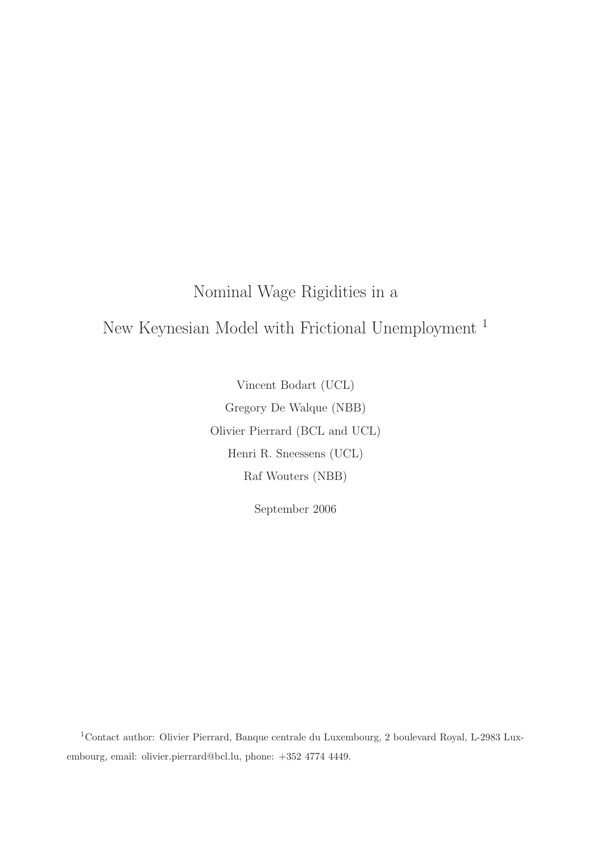# Nominal Wage Rigidities in a New Keynesian Model with Frictional Unemployment <sup>1</sup>

Vincent Bodart (UCL) Gregory De Walque (NBB) Olivier Pierrard (BCL and UCL) Henri R. Sneessens (UCL) Raf Wouters (NBB)

September 2006

<sup>1</sup>Contact author: Olivier Pierrard, Banque centrale du Luxembourg, 2 boulevard Royal, L-2983 Luxembourg, email: olivier.pierrard@bcl.lu, phone: +352 4774 4449.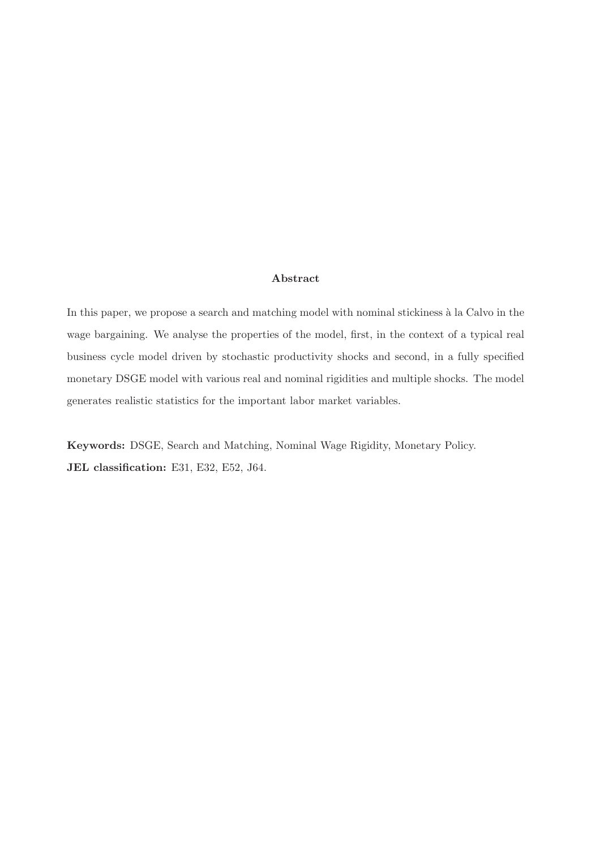### Abstract

In this paper, we propose a search and matching model with nominal stickiness à la Calvo in the wage bargaining. We analyse the properties of the model, first, in the context of a typical real business cycle model driven by stochastic productivity shocks and second, in a fully specified monetary DSGE model with various real and nominal rigidities and multiple shocks. The model generates realistic statistics for the important labor market variables.

Keywords: DSGE, Search and Matching, Nominal Wage Rigidity, Monetary Policy. JEL classification: E31, E32, E52, J64.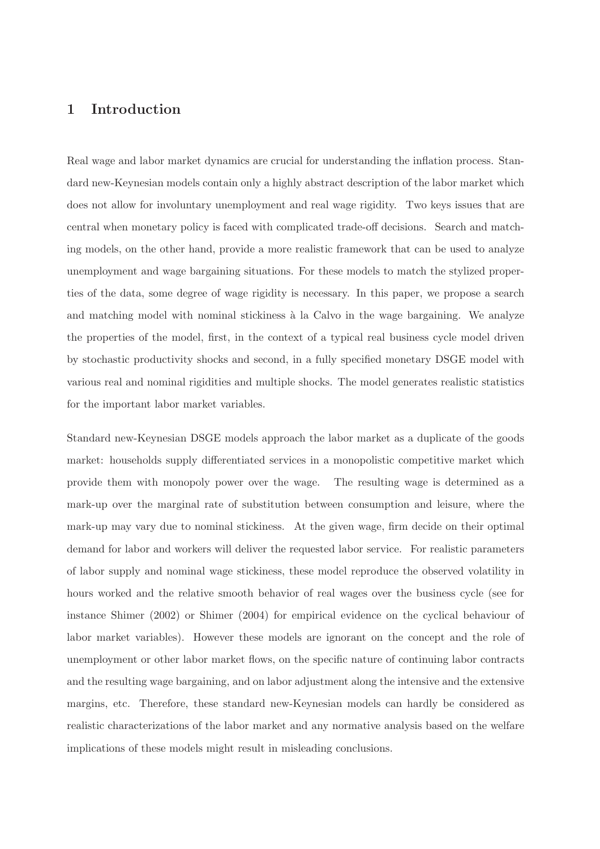### 1 Introduction

Real wage and labor market dynamics are crucial for understanding the inflation process. Standard new-Keynesian models contain only a highly abstract description of the labor market which does not allow for involuntary unemployment and real wage rigidity. Two keys issues that are central when monetary policy is faced with complicated trade-off decisions. Search and matching models, on the other hand, provide a more realistic framework that can be used to analyze unemployment and wage bargaining situations. For these models to match the stylized properties of the data, some degree of wage rigidity is necessary. In this paper, we propose a search and matching model with nominal stickiness à la Calvo in the wage bargaining. We analyze the properties of the model, first, in the context of a typical real business cycle model driven by stochastic productivity shocks and second, in a fully specified monetary DSGE model with various real and nominal rigidities and multiple shocks. The model generates realistic statistics for the important labor market variables.

Standard new-Keynesian DSGE models approach the labor market as a duplicate of the goods market: households supply differentiated services in a monopolistic competitive market which provide them with monopoly power over the wage. The resulting wage is determined as a mark-up over the marginal rate of substitution between consumption and leisure, where the mark-up may vary due to nominal stickiness. At the given wage, firm decide on their optimal demand for labor and workers will deliver the requested labor service. For realistic parameters of labor supply and nominal wage stickiness, these model reproduce the observed volatility in hours worked and the relative smooth behavior of real wages over the business cycle (see for instance [Shimer](#page-28-0) [\(2002](#page-28-0)) or [Shimer](#page-28-1) [\(2004](#page-28-1)) for empirical evidence on the cyclical behaviour of labor market variables). However these models are ignorant on the concept and the role of unemployment or other labor market flows, on the specific nature of continuing labor contracts and the resulting wage bargaining, and on labor adjustment along the intensive and the extensive margins, etc. Therefore, these standard new-Keynesian models can hardly be considered as realistic characterizations of the labor market and any normative analysis based on the welfare implications of these models might result in misleading conclusions.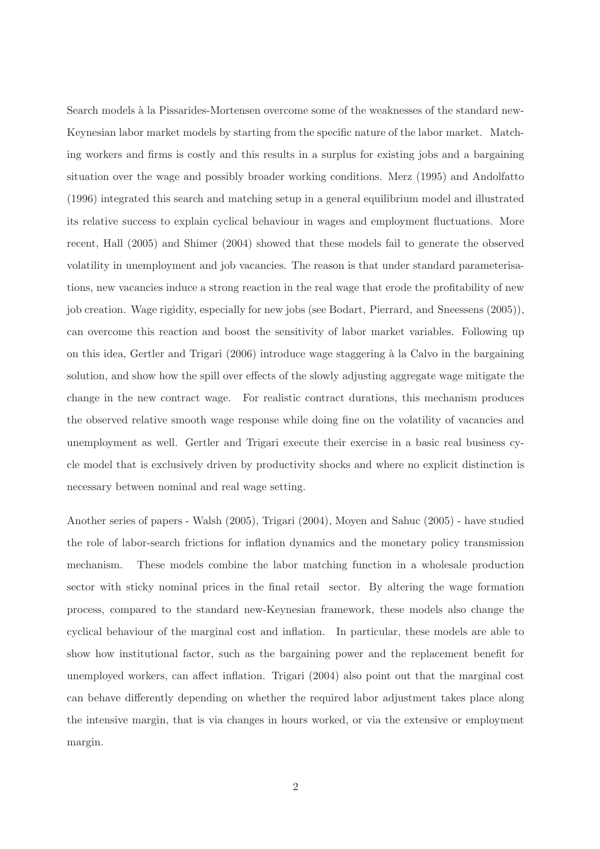Search models à la Pissarides-Mortensen overcome some of the weaknesses of the standard new-Keynesian labor market models by starting from the specific nature of the labor market. Matching workers and firms is costly and this results in a surplus for existing jobs and a bargaining situation over the wage and possibly broader working conditions. [Merz \(1995\)](#page-28-2) and [Andolfatto](#page-27-0) [\(1996](#page-27-0)) integrated this search and matching setup in a general equilibrium model and illustrated its relative success to explain cyclical behaviour in wages and employment fluctuations. More recent, [Hall](#page-27-1) [\(2005](#page-27-1)) and [Shimer \(2004](#page-28-1)) showed that these models fail to generate the observed volatility in unemployment and job vacancies. The reason is that under standard parameterisations, new vacancies induce a strong reaction in the real wage that erode the profitability of new job creation. Wage rigidity, especially for new jobs (see [Bodart, Pierrard, and Sneessens](#page-27-2) [\(2005](#page-27-2))), can overcome this reaction and boost the sensitivity of labor market variables. Following up on this idea, [Gertler and Trigari \(2006](#page-27-3)) introduce wage staggering `a la Calvo in the bargaining solution, and show how the spill over effects of the slowly adjusting aggregate wage mitigate the change in the new contract wage. For realistic contract durations, this mechanism produces the observed relative smooth wage response while doing fine on the volatility of vacancies and unemployment as well. Gertler and Trigari execute their exercise in a basic real business cycle model that is exclusively driven by productivity shocks and where no explicit distinction is necessary between nominal and real wage setting.

Another series of papers - [Walsh](#page-28-3) [\(2005](#page-28-3)), [Trigari \(2004\)](#page-28-4), [Moyen and Sahuc \(2005](#page-28-5)) - have studied the role of labor-search frictions for inflation dynamics and the monetary policy transmission mechanism. These models combine the labor matching function in a wholesale production sector with sticky nominal prices in the final retail sector. By altering the wage formation process, compared to the standard new-Keynesian framework, these models also change the cyclical behaviour of the marginal cost and inflation. In particular, these models are able to show how institutional factor, such as the bargaining power and the replacement benefit for unemployed workers, can affect inflation. [Trigari \(2004](#page-28-4)) also point out that the marginal cost can behave differently depending on whether the required labor adjustment takes place along the intensive margin, that is via changes in hours worked, or via the extensive or employment margin.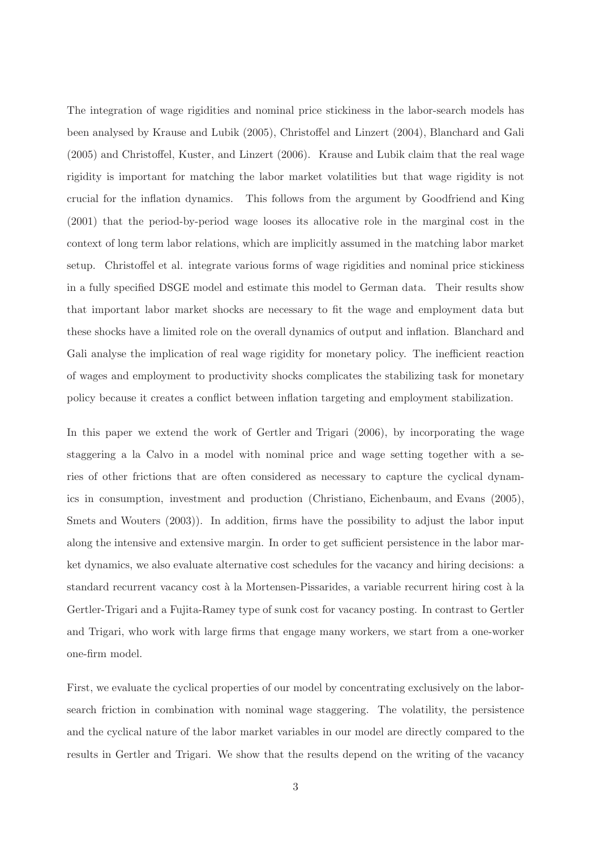The integration of wage rigidities and nominal price stickiness in the labor-search models has been analysed by [Krause and Lubik \(2005\)](#page-27-4), [Christoffel and Linzert \(2004\)](#page-27-5), [Blanchard and Gali](#page-27-6) [\(2005](#page-27-6)) and [Christoffel, Kuster, and Linzert \(2006\)](#page-27-7). Krause and Lubik claim that the real wage rigidity is important for matching the labor market volatilities but that wage rigidity is not crucial for the inflation dynamics. This follows from the argument by [Goodfriend and King](#page-27-8) [\(2001](#page-27-8)) that the period-by-period wage looses its allocative role in the marginal cost in the context of long term labor relations, which are implicitly assumed in the matching labor market setup. Christoffel et al. integrate various forms of wage rigidities and nominal price stickiness in a fully specified DSGE model and estimate this model to German data. Their results show that important labor market shocks are necessary to fit the wage and employment data but these shocks have a limited role on the overall dynamics of output and inflation. Blanchard and Gali analyse the implication of real wage rigidity for monetary policy. The inefficient reaction of wages and employment to productivity shocks complicates the stabilizing task for monetary policy because it creates a conflict between inflation targeting and employment stabilization.

In this paper we extend the work of [Gertler and Trigari \(2006](#page-27-3)), by incorporating the wage staggering a la Calvo in a model with nominal price and wage setting together with a series of other frictions that are often considered as necessary to capture the cyclical dynamics in consumption, investment and production [\(Christiano, Eichenbaum, and Evans \(2005\)](#page-27-9), [Smets and Wouters \(2003\)](#page-28-6)). In addition, firms have the possibility to adjust the labor input along the intensive and extensive margin. In order to get sufficient persistence in the labor market dynamics, we also evaluate alternative cost schedules for the vacancy and hiring decisions: a standard recurrent vacancy cost à la Mortensen-Pissarides, a variable recurrent hiring cost à la Gertler-Trigari and a Fujita-Ramey type of sunk cost for vacancy posting. In contrast to Gertler and Trigari, who work with large firms that engage many workers, we start from a one-worker one-firm model.

First, we evaluate the cyclical properties of our model by concentrating exclusively on the laborsearch friction in combination with nominal wage staggering. The volatility, the persistence and the cyclical nature of the labor market variables in our model are directly compared to the results in Gertler and Trigari. We show that the results depend on the writing of the vacancy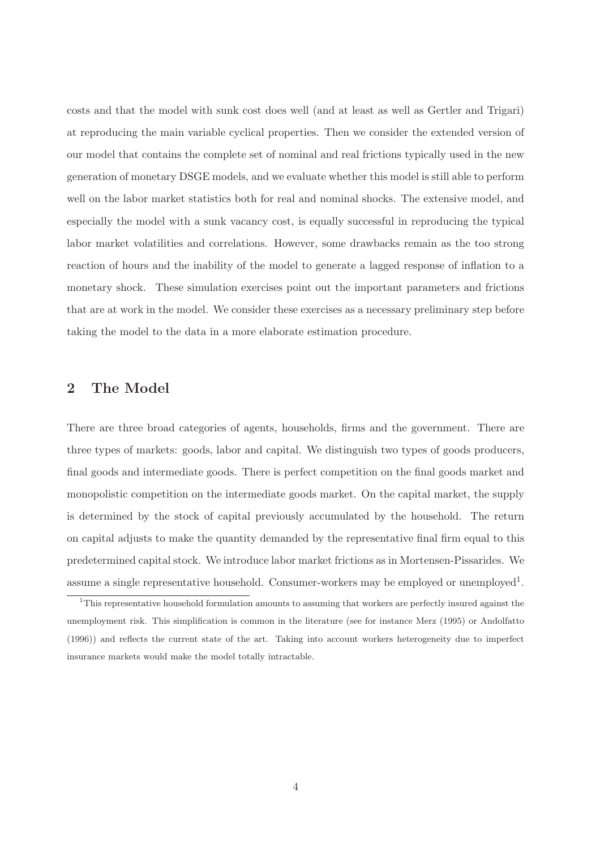costs and that the model with sunk cost does well (and at least as well as Gertler and Trigari) at reproducing the main variable cyclical properties. Then we consider the extended version of our model that contains the complete set of nominal and real frictions typically used in the new generation of monetary DSGE models, and we evaluate whether this model is still able to perform well on the labor market statistics both for real and nominal shocks. The extensive model, and especially the model with a sunk vacancy cost, is equally successful in reproducing the typical labor market volatilities and correlations. However, some drawbacks remain as the too strong reaction of hours and the inability of the model to generate a lagged response of inflation to a monetary shock. These simulation exercises point out the important parameters and frictions that are at work in the model. We consider these exercises as a necessary preliminary step before taking the model to the data in a more elaborate estimation procedure.

### 2 The Model

There are three broad categories of agents, households, firms and the government. There are three types of markets: goods, labor and capital. We distinguish two types of goods producers, final goods and intermediate goods. There is perfect competition on the final goods market and monopolistic competition on the intermediate goods market. On the capital market, the supply is determined by the stock of capital previously accumulated by the household. The return on capital adjusts to make the quantity demanded by the representative final firm equal to this predetermined capital stock. We introduce labor market frictions as in Mortensen-Pissarides. We assume a single representative household. Consumer-workers may be employed or unemployed<sup>[1](#page-5-0)</sup>.

<span id="page-5-0"></span><sup>1</sup>This representative household formulation amounts to assuming that workers are perfectly insured against the unemployment risk. This simplification is common in the literature (see for instance [Merz \(1995\)](#page-28-2) or [Andolfatto](#page-27-0) [\(1996](#page-27-0))) and reflects the current state of the art. Taking into account workers heterogeneity due to imperfect insurance markets would make the model totally intractable.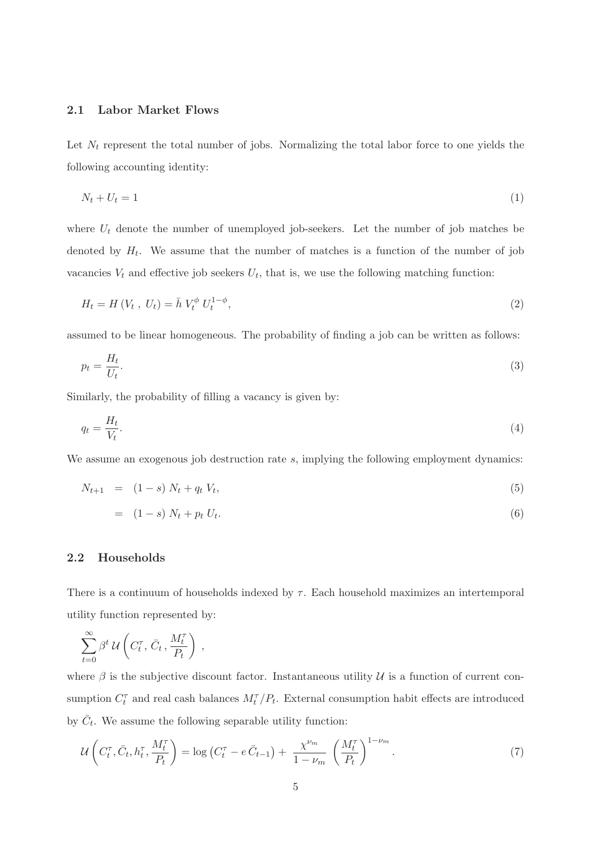### 2.1 Labor Market Flows

Let  $N_t$  represent the total number of jobs. Normalizing the total labor force to one yields the following accounting identity:

$$
N_t + U_t = 1 \tag{1}
$$

where  $U_t$  denote the number of unemployed job-seekers. Let the number of job matches be denoted by  $H_t$ . We assume that the number of matches is a function of the number of job vacancies  $V_t$  and effective job seekers  $U_t$ , that is, we use the following matching function:

$$
H_t = H(V_t, U_t) = \bar{h} V_t^{\phi} U_t^{1-\phi}, \tag{2}
$$

assumed to be linear homogeneous. The probability of finding a job can be written as follows:

$$
p_t = \frac{H_t}{U_t}.\tag{3}
$$

Similarly, the probability of filling a vacancy is given by:

$$
q_t = \frac{H_t}{V_t}.\tag{4}
$$

We assume an exogenous job destruction rate s, implying the following employment dynamics:

$$
N_{t+1} = (1-s) N_t + q_t V_t, \tag{5}
$$

$$
= (1 - s) N_t + p_t U_t. \tag{6}
$$

### <span id="page-6-0"></span>2.2 Households

There is a continuum of households indexed by  $\tau$ . Each household maximizes an intertemporal utility function represented by:

$$
\sum_{t=0}^{\infty} \beta^t \, \mathcal{U}\left(C_t^{\tau}, \, \bar{C}_t \, , \frac{M_t^{\tau}}{P_t}\right) \, ,
$$

where  $\beta$  is the subjective discount factor. Instantaneous utility  $\mathcal U$  is a function of current consumption  $C_t^{\tau}$  and real cash balances  $M_t^{\tau}/P_t$ . External consumption habit effects are introduced by  $\bar{C}_t$ . We assume the following separable utility function:

$$
\mathcal{U}\left(C_t^{\tau}, \bar{C}_t, h_t^{\tau}, \frac{M_t^{\tau}}{P_t}\right) = \log\left(C_t^{\tau} - e\,\bar{C}_{t-1}\right) + \frac{\chi^{\nu_m}}{1 - \nu_m} \left(\frac{M_t^{\tau}}{P_t}\right)^{1 - \nu_m}.\tag{7}
$$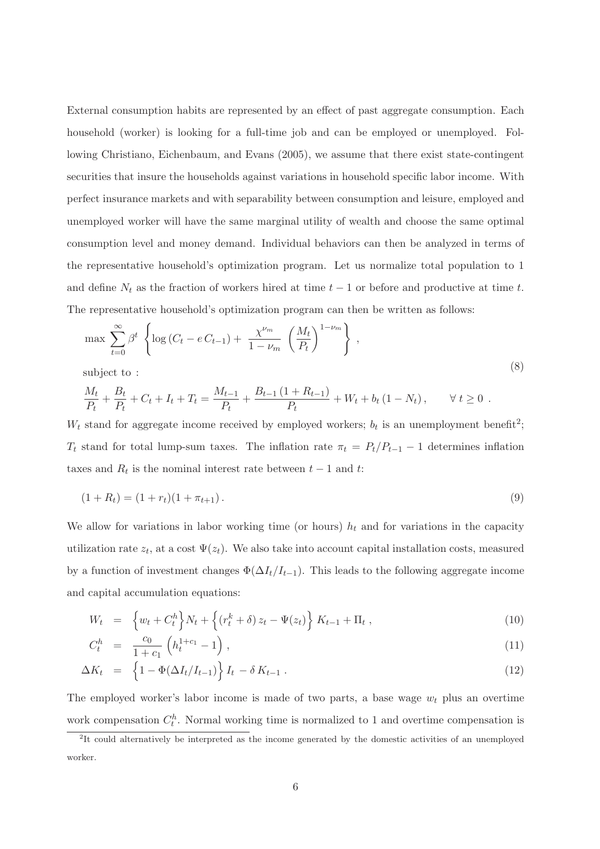External consumption habits are represented by an effect of past aggregate consumption. Each household (worker) is looking for a full-time job and can be employed or unemployed. Following [Christiano, Eichenbaum, and Evans](#page-27-9) [\(2005](#page-27-9)), we assume that there exist state-contingent securities that insure the households against variations in household specific labor income. With perfect insurance markets and with separability between consumption and leisure, employed and unemployed worker will have the same marginal utility of wealth and choose the same optimal consumption level and money demand. Individual behaviors can then be analyzed in terms of the representative household's optimization program. Let us normalize total population to 1 and define  $N_t$  as the fraction of workers hired at time  $t - 1$  or before and productive at time t. The representative household's optimization program can then be written as follows:

$$
\max \sum_{t=0}^{\infty} \beta^t \left\{ \log \left( C_t - e C_{t-1} \right) + \frac{\chi^{\nu_m}}{1 - \nu_m} \left( \frac{M_t}{P_t} \right)^{1 - \nu_m} \right\},\tag{8}
$$

subject to :

$$
\frac{M_t}{P_t} + \frac{B_t}{P_t} + C_t + I_t + T_t = \frac{M_{t-1}}{P_t} + \frac{B_{t-1}(1 + R_{t-1})}{P_t} + W_t + b_t (1 - N_t), \quad \forall t \ge 0.
$$

 $W_t$  stand for aggregate income received by employed workers;  $b_t$  is an unemployment benefit<sup>[2](#page-7-0)</sup>;  $T_t$  stand for total lump-sum taxes. The inflation rate  $\pi_t = P_t/P_{t-1} - 1$  determines inflation taxes and  $R_t$  is the nominal interest rate between  $t-1$  and  $t$ :

$$
(1 + R_t) = (1 + r_t)(1 + \pi_{t+1}).
$$
\n(9)

We allow for variations in labor working time (or hours)  $h_t$  and for variations in the capacity utilization rate  $z_t$ , at a cost  $\Psi(z_t)$ . We also take into account capital installation costs, measured by a function of investment changes  $\Phi(\Delta I_t/I_{t-1})$ . This leads to the following aggregate income and capital accumulation equations:

<span id="page-7-1"></span>
$$
W_t = \left\{ w_t + C_t^h \right\} N_t + \left\{ \left( r_t^k + \delta \right) z_t - \Psi(z_t) \right\} K_{t-1} + \Pi_t , \qquad (10)
$$

$$
C_t^h = \frac{c_0}{1+c_1} \left( h_t^{1+c_1} - 1 \right), \tag{11}
$$

$$
\Delta K_t = \left\{ 1 - \Phi(\Delta I_t / I_{t-1}) \right\} I_t - \delta K_{t-1} . \tag{12}
$$

The employed worker's labor income is made of two parts, a base wage  $w_t$  plus an overtime work compensation  $C_t^h$ . Normal working time is normalized to 1 and overtime compensation is

<span id="page-7-0"></span><sup>&</sup>lt;sup>2</sup>It could alternatively be interpreted as the income generated by the domestic activities of an unemployed worker.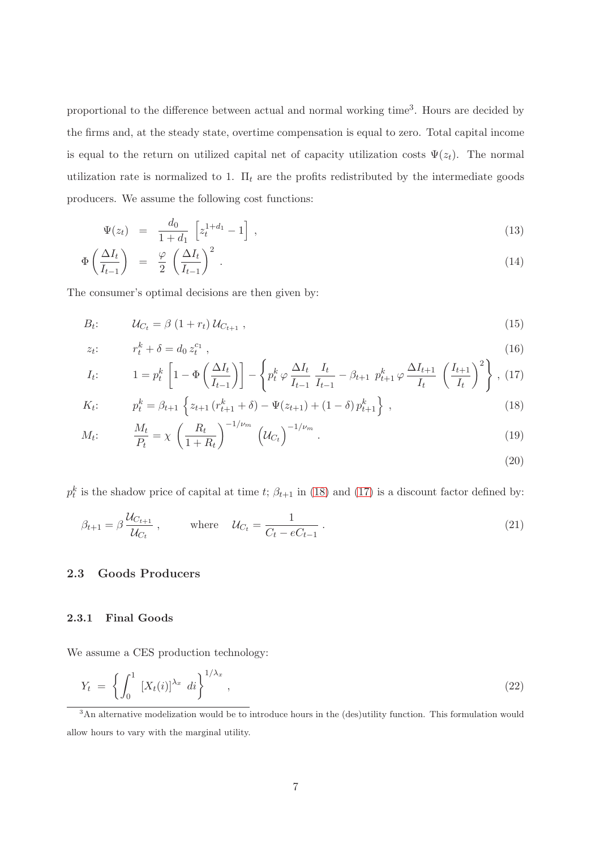proportional to the difference between actual and normal working time<sup>[3](#page-8-0)</sup>. Hours are decided by the firms and, at the steady state, overtime compensation is equal to zero. Total capital income is equal to the return on utilized capital net of capacity utilization costs  $\Psi(z_t)$ . The normal utilization rate is normalized to 1.  $\Pi_t$  are the profits redistributed by the intermediate goods producers. We assume the following cost functions:

$$
\Psi(z_t) = \frac{d_0}{1+d_1} \left[ z_t^{1+d_1} - 1 \right], \tag{13}
$$

$$
\Phi\left(\frac{\Delta I_t}{I_{t-1}}\right) = \frac{\varphi}{2} \left(\frac{\Delta I_t}{I_{t-1}}\right)^2.
$$
\n(14)

<span id="page-8-1"></span>The consumer's optimal decisions are then given by:

$$
B_t: \t U_{C_t} = \beta \left(1 + r_t\right) \mathcal{U}_{C_{t+1}}, \t(15)
$$

$$
z_t: \t r_t^k + \delta = d_0 z_t^{c_1} \t (16)
$$

$$
I_t: \qquad 1 = p_t^k \left[ 1 - \Phi\left(\frac{\Delta I_t}{I_{t-1}}\right) \right] - \left\{ p_t^k \varphi \frac{\Delta I_t}{I_{t-1}} \frac{I_t}{I_{t-1}} - \beta_{t+1} p_{t+1}^k \varphi \frac{\Delta I_{t+1}}{I_t} \left(\frac{I_{t+1}}{I_t}\right)^2 \right\}, \tag{17}
$$

$$
K_t: \t p_t^k = \beta_{t+1} \left\{ z_{t+1} \left( r_{t+1}^k + \delta \right) - \Psi(z_{t+1}) + (1 - \delta) p_{t+1}^k \right\}, \t (18)
$$

$$
M_t: \t \frac{M_t}{P_t} = \chi \left(\frac{R_t}{1+R_t}\right)^{-1/\nu_m} \left(\mathcal{U}_{C_t}\right)^{-1/\nu_m}.
$$
\t(19)

(20)

 $p_t^k$  is the shadow price of capital at time t;  $\beta_{t+1}$  in [\(18\)](#page-8-1) and [\(17\)](#page-8-1) is a discount factor defined by:

$$
\beta_{t+1} = \beta \frac{\mathcal{U}_{C_{t+1}}}{\mathcal{U}_{C_t}}, \qquad \text{where} \quad \mathcal{U}_{C_t} = \frac{1}{C_t - eC_{t-1}}.
$$
\n
$$
(21)
$$

### 2.3 Goods Producers

### 2.3.1 Final Goods

We assume a CES production technology:

$$
Y_t = \left\{ \int_0^1 \left[ X_t(i) \right]^{\lambda_x} di \right\}^{1/\lambda_x}, \tag{22}
$$

<span id="page-8-0"></span><sup>&</sup>lt;sup>3</sup>An alternative modelization would be to introduce hours in the (des)utility function. This formulation would allow hours to vary with the marginal utility.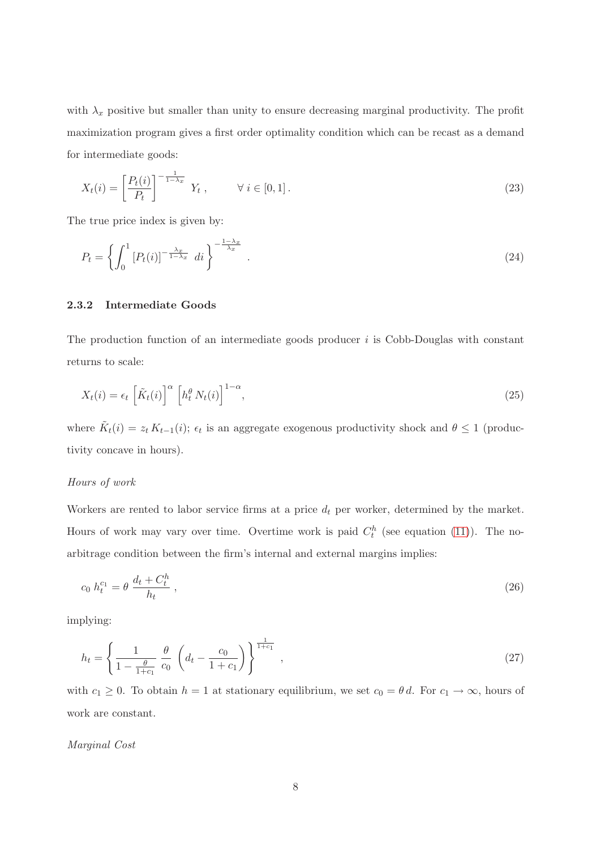with  $\lambda_x$  positive but smaller than unity to ensure decreasing marginal productivity. The profit maximization program gives a first order optimality condition which can be recast as a demand for intermediate goods:

<span id="page-9-1"></span><span id="page-9-0"></span>
$$
X_t(i) = \left[\frac{P_t(i)}{P_t}\right]^{-\frac{1}{1-\lambda_x}} Y_t, \qquad \forall i \in [0,1].
$$
\n
$$
(23)
$$

The true price index is given by:

$$
P_t = \left\{ \int_0^1 \left[ P_t(i) \right]^{-\frac{\lambda_x}{1 - \lambda_x}} \, di \right\}^{-\frac{1 - \lambda_x}{\lambda_x}} \tag{24}
$$

### 2.3.2 Intermediate Goods

The production function of an intermediate goods producer  $i$  is Cobb-Douglas with constant returns to scale:

$$
X_t(i) = \epsilon_t \left[ \tilde{K}_t(i) \right]^\alpha \left[ h_t^\theta N_t(i) \right]^{1-\alpha},\tag{25}
$$

where  $\tilde{K}_t(i) = z_t K_{t-1}(i); \epsilon_t$  is an aggregate exogenous productivity shock and  $\theta \leq 1$  (productivity concave in hours).

### Hours of work

Workers are rented to labor service firms at a price  $d_t$  per worker, determined by the market. Hours of work may vary over time. Overtime work is paid  $C_t^h$  (see equation [\(11\)](#page-7-1)). The noarbitrage condition between the firm's internal and external margins implies:

$$
c_0 \; h_t^{c_1} = \theta \; \frac{d_t + C_t^h}{h_t} \; , \tag{26}
$$

implying:

$$
h_t = \left\{ \frac{1}{1 - \frac{\theta}{1 + c_1}} \frac{\theta}{c_0} \left( d_t - \frac{c_0}{1 + c_1} \right) \right\}^{\frac{1}{1 + c_1}}, \qquad (27)
$$

with  $c_1 \geq 0$ . To obtain  $h = 1$  at stationary equilibrium, we set  $c_0 = \theta d$ . For  $c_1 \to \infty$ , hours of work are constant.

### Marginal Cost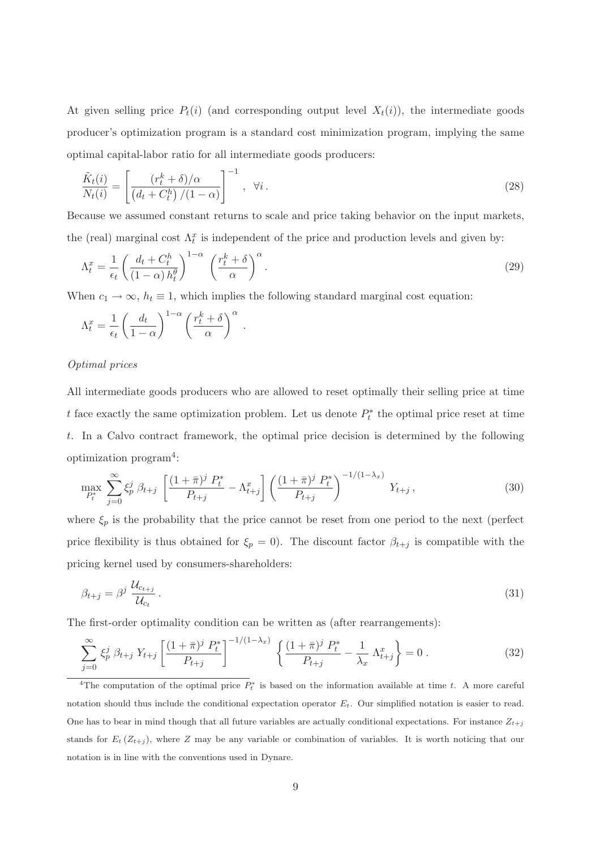At given selling price  $P_t(i)$  (and corresponding output level  $X_t(i)$ ), the intermediate goods producer's optimization program is a standard cost minimization program, implying the same optimal capital-labor ratio for all intermediate goods producers:

$$
\frac{\tilde{K}_t(i)}{N_t(i)} = \left[ \frac{(r_t^k + \delta)/\alpha}{\left(d_t + C_t^h\right)/(1 - \alpha)} \right]^{-1}, \quad \forall i.
$$
\n(28)

Because we assumed constant returns to scale and price taking behavior on the input markets, the (real) marginal cost  $\Lambda_t^x$  is independent of the price and production levels and given by:

$$
\Lambda_t^x = \frac{1}{\epsilon_t} \left( \frac{d_t + C_t^h}{(1 - \alpha) h_t^{\theta}} \right)^{1 - \alpha} \left( \frac{r_t^k + \delta}{\alpha} \right)^{\alpha} . \tag{29}
$$

When  $c_1 \rightarrow \infty$ ,  $h_t \equiv 1$ , which implies the following standard marginal cost equation:

$$
\Lambda_t^x = \frac{1}{\epsilon_t} \left( \frac{d_t}{1-\alpha} \right)^{1-\alpha} \left( \frac{r_t^k + \delta}{\alpha} \right)^{\alpha} .
$$

### Optimal prices

All intermediate goods producers who are allowed to reset optimally their selling price at time t face exactly the same optimization problem. Let us denote  $P_t^*$  $t<sub>t</sub><sup>*</sup>$  the optimal price reset at time t. In a Calvo contract framework, the optimal price decision is determined by the following optimization program[4](#page-10-0) :

$$
\max_{P_t^*} \sum_{j=0}^{\infty} \xi_p^j \beta_{t+j} \left[ \frac{(1+\bar{\pi})^j P_t^*}{P_{t+j}} - \Lambda_{t+j}^x \right] \left( \frac{(1+\bar{\pi})^j P_t^*}{P_{t+j}} \right)^{-1/(1-\lambda_x)} Y_{t+j}, \tag{30}
$$

where  $\xi_p$  is the probability that the price cannot be reset from one period to the next (perfect price flexibility is thus obtained for  $\xi_p = 0$ . The discount factor  $\beta_{t+j}$  is compatible with the pricing kernel used by consumers-shareholders:

<span id="page-10-1"></span>
$$
\beta_{t+j} = \beta^j \, \frac{\mathcal{U}_{c_{t+j}}}{\mathcal{U}_{c_t}} \,. \tag{31}
$$

The first-order optimality condition can be written as (after rearrangements):

$$
\sum_{j=0}^{\infty} \xi_p^j \beta_{t+j} Y_{t+j} \left[ \frac{(1+\bar{\pi})^j P_t^*}{P_{t+j}} \right]^{-1/(1-\lambda_x)} \left\{ \frac{(1+\bar{\pi})^j P_t^*}{P_{t+j}} - \frac{1}{\lambda_x} \Lambda_{t+j}^x \right\} = 0.
$$
\n(32)

<span id="page-10-0"></span><sup>&</sup>lt;sup>4</sup>The computation of the optimal price  $P_t^*$  is based on the information available at time t. A more careful notation should thus include the conditional expectation operator  $E_t$ . Our simplified notation is easier to read. One has to bear in mind though that all future variables are actually conditional expectations. For instance  $Z_{t+j}$ stands for  $E_t(Z_{t+j})$ , where Z may be any variable or combination of variables. It is worth noticing that our notation is in line with the conventions used in Dynare.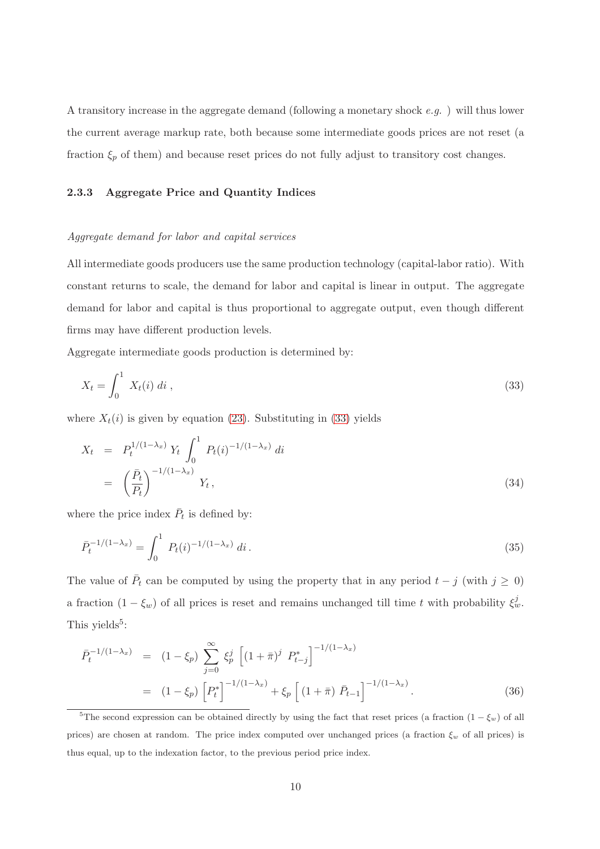A transitory increase in the aggregate demand (following a monetary shock e.g. ) will thus lower the current average markup rate, both because some intermediate goods prices are not reset (a fraction  $\xi_p$  of them) and because reset prices do not fully adjust to transitory cost changes.

### 2.3.3 Aggregate Price and Quantity Indices

### Aggregate demand for labor and capital services

All intermediate goods producers use the same production technology (capital-labor ratio). With constant returns to scale, the demand for labor and capital is linear in output. The aggregate demand for labor and capital is thus proportional to aggregate output, even though different firms may have different production levels.

Aggregate intermediate goods production is determined by:

<span id="page-11-0"></span>
$$
X_t = \int_0^1 X_t(i) \, di \tag{33}
$$

<span id="page-11-2"></span>where  $X_t(i)$  is given by equation [\(23\)](#page-9-0). Substituting in [\(33\)](#page-11-0) yields

$$
X_t = P_t^{1/(1-\lambda_x)} Y_t \int_0^1 P_t(i)^{-1/(1-\lambda_x)} di
$$
  
=  $\left(\frac{\bar{P}_t}{P_t}\right)^{-1/(1-\lambda_x)} Y_t,$  (34)

where the price index  $\bar{P}_t$  is defined by:

$$
\bar{P}_t^{-1/(1-\lambda_x)} = \int_0^1 P_t(i)^{-1/(1-\lambda_x)} di.
$$
\n(35)

The value of  $\bar{P}_t$  can be computed by using the property that in any period  $t - j$  (with  $j \ge 0$ ) a fraction  $(1 - \xi_w)$  of all prices is reset and remains unchanged till time t with probability  $\xi_w^j$ . This yields<sup>[5](#page-11-1)</sup>:

<span id="page-11-3"></span>
$$
\begin{split} \bar{P}_{t}^{-1/(1-\lambda_{x})} &= (1-\xi_{p}) \sum_{j=0}^{\infty} \xi_{p}^{j} \left[ (1+\bar{\pi})^{j} P_{t-j}^{*} \right]^{-1/(1-\lambda_{x})} \\ &= (1-\xi_{p}) \left[ P_{t}^{*} \right]^{-1/(1-\lambda_{x})} + \xi_{p} \left[ (1+\bar{\pi}) \bar{P}_{t-1} \right]^{-1/(1-\lambda_{x})} . \end{split} \tag{36}
$$

<span id="page-11-1"></span><sup>&</sup>lt;sup>5</sup>The second expression can be obtained directly by using the fact that reset prices (a fraction  $(1 - \xi_w)$  of all prices) are chosen at random. The price index computed over unchanged prices (a fraction  $\xi_w$  of all prices) is thus equal, up to the indexation factor, to the previous period price index.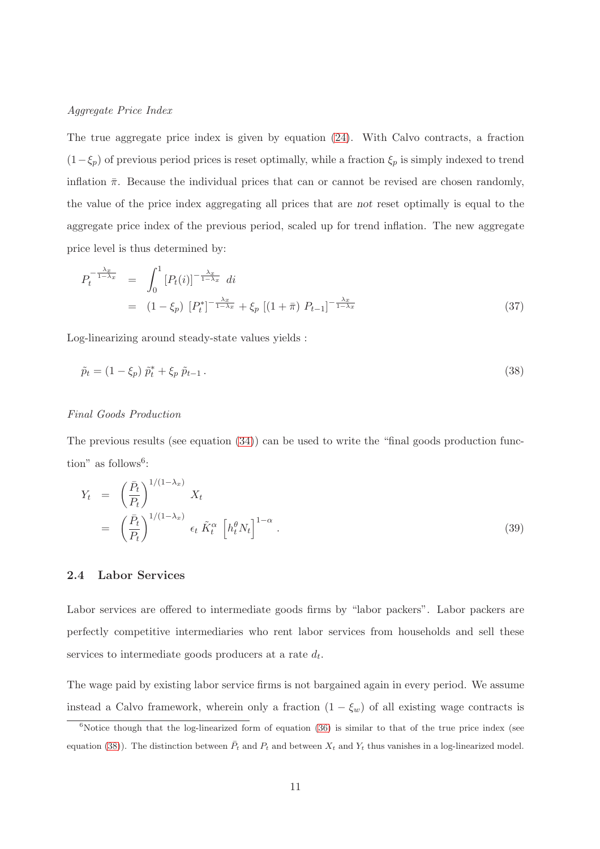### Aggregate Price Index

The true aggregate price index is given by equation [\(24\)](#page-9-1). With Calvo contracts, a fraction  $(1-\xi_p)$  of previous period prices is reset optimally, while a fraction  $\xi_p$  is simply indexed to trend inflation  $\bar{\pi}$ . Because the individual prices that can or cannot be revised are chosen randomly, the value of the price index aggregating all prices that are not reset optimally is equal to the aggregate price index of the previous period, scaled up for trend inflation. The new aggregate price level is thus determined by:

$$
P_t^{-\frac{\lambda_x}{1-\lambda_x}} = \int_0^1 [P_t(i)]^{-\frac{\lambda_x}{1-\lambda_x}} di
$$
  
=  $(1 - \xi_p) [P_t^*]^{-\frac{\lambda_x}{1-\lambda_x}} + \xi_p [(1 + \bar{\pi}) P_{t-1}]^{-\frac{\lambda_x}{1-\lambda_x}}$  (37)

Log-linearizing around steady-state values yields :

<span id="page-12-1"></span>
$$
\tilde{p}_t = (1 - \xi_p) \ \tilde{p}_t^* + \xi_p \ \tilde{p}_{t-1} \,. \tag{38}
$$

### Final Goods Production

The previous results (see equation [\(34\)](#page-11-2)) can be used to write the "final goods production func- $\text{tion}^{\prime\prime}$  as follows<sup>[6](#page-12-0)</sup>:

$$
Y_t = \left(\frac{\bar{P}_t}{P_t}\right)^{1/(1-\lambda_x)} X_t
$$
  
=  $\left(\frac{\bar{P}_t}{P_t}\right)^{1/(1-\lambda_x)} \epsilon_t \tilde{K}_t^{\alpha} \left[h_t^{\theta} N_t\right]^{1-\alpha}.$  (39)

### 2.4 Labor Services

Labor services are offered to intermediate goods firms by "labor packers". Labor packers are perfectly competitive intermediaries who rent labor services from households and sell these services to intermediate goods producers at a rate  $d_t$ .

The wage paid by existing labor service firms is not bargained again in every period. We assume instead a Calvo framework, wherein only a fraction  $(1 - \xi_w)$  of all existing wage contracts is

<span id="page-12-0"></span> $6$ Notice though that the log-linearized form of equation  $(36)$  is similar to that of the true price index (see equation [\(38\)](#page-12-1)). The distinction between  $\bar{P}_t$  and  $P_t$  and between  $X_t$  and  $Y_t$  thus vanishes in a log-linearized model.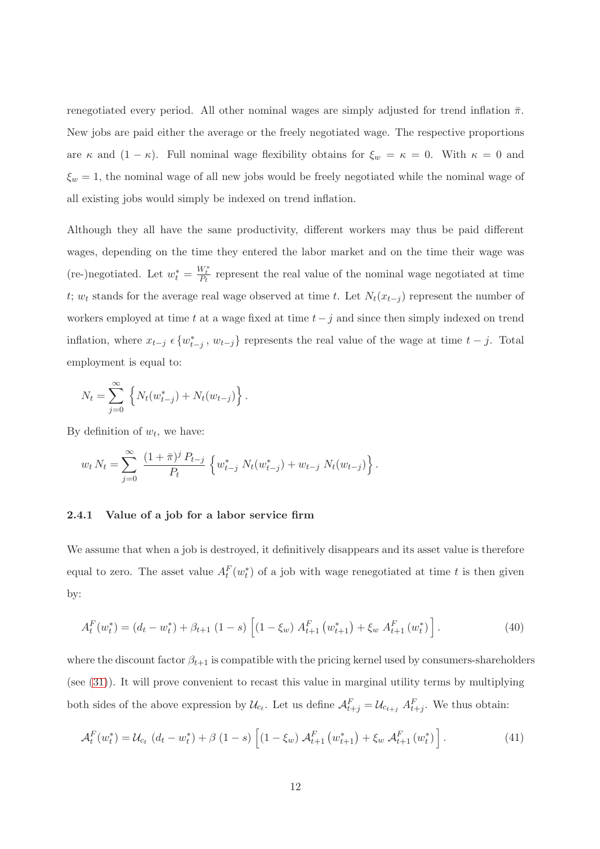renegotiated every period. All other nominal wages are simply adjusted for trend inflation  $\bar{\pi}$ . New jobs are paid either the average or the freely negotiated wage. The respective proportions are  $\kappa$  and  $(1 - \kappa)$ . Full nominal wage flexibility obtains for  $\xi_w = \kappa = 0$ . With  $\kappa = 0$  and  $\xi_w = 1$ , the nominal wage of all new jobs would be freely negotiated while the nominal wage of all existing jobs would simply be indexed on trend inflation.

Although they all have the same productivity, different workers may thus be paid different wages, depending on the time they entered the labor market and on the time their wage was (re-)negotiated. Let  $w_t^* = \frac{W_t^*}{P_t}$  represent the real value of the nominal wage negotiated at time t; w<sub>t</sub> stands for the average real wage observed at time t. Let  $N_t(x_{t-j})$  represent the number of workers employed at time t at a wage fixed at time  $t-j$  and since then simply indexed on trend inflation, where  $x_{t-j} \in \{w_{t-j}^*, w_{t-j}\}\)$  represents the real value of the wage at time  $t-j$ . Total employment is equal to:

$$
N_t = \sum_{j=0}^{\infty} \left\{ N_t(w_{t-j}^*) + N_t(w_{t-j}) \right\}.
$$

By definition of  $w_t$ , we have:

$$
w_t N_t = \sum_{j=0}^{\infty} \frac{(1+\bar{\pi})^j P_{t-j}}{P_t} \left\{ w_{t-j}^* N_t(w_{t-j}^*) + w_{t-j} N_t(w_{t-j}) \right\}.
$$

### 2.4.1 Value of a job for a labor service firm

We assume that when a job is destroyed, it definitively disappears and its asset value is therefore equal to zero. The asset value  $A_t^F(w_t^*)$  $_{t}^{*}$ ) of a job with wage renegotiated at time t is then given by:

$$
A_t^F(w_t^*) = (d_t - w_t^*) + \beta_{t+1} (1 - s) \left[ (1 - \xi_w) A_{t+1}^F(w_{t+1}^*) + \xi_w A_{t+1}^F(w_t^*) \right]. \tag{40}
$$

where the discount factor  $\beta_{t+1}$  is compatible with the pricing kernel used by consumers-shareholders (see [\(31\)](#page-10-1)). It will prove convenient to recast this value in marginal utility terms by multiplying both sides of the above expression by  $\mathcal{U}_{c_t}$ . Let us define  $\mathcal{A}_{t+j}^F = \mathcal{U}_{c_{t+j}} A_{t+j}^F$ . We thus obtain:

<span id="page-13-0"></span>
$$
\mathcal{A}_t^F(w_t^*) = \mathcal{U}_{c_t} \ (d_t - w_t^*) + \beta \ (1 - s) \left[ (1 - \xi_w) \ \mathcal{A}_{t+1}^F(w_{t+1}^*) + \xi_w \ \mathcal{A}_{t+1}^F(w_t^*) \right]. \tag{41}
$$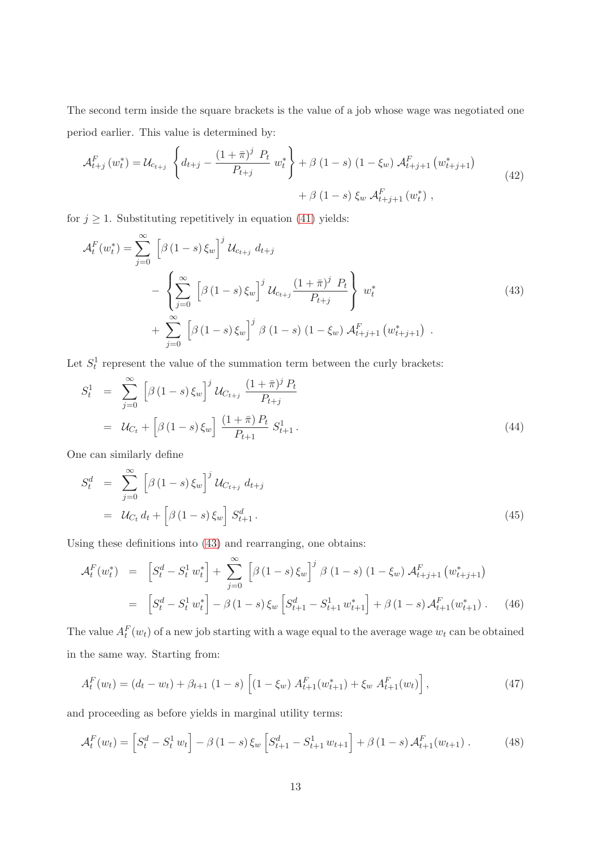The second term inside the square brackets is the value of a job whose wage was negotiated one period earlier. This value is determined by:

$$
\mathcal{A}_{t+j}^{F}(w_{t}^{*}) = \mathcal{U}_{c_{t+j}} \left\{ d_{t+j} - \frac{(1+\bar{\pi})^{j} P_{t}}{P_{t+j}} w_{t}^{*} \right\} + \beta (1-s) (1-\xi_{w}) \mathcal{A}_{t+j+1}^{F}(w_{t+j+1}^{*}) + \beta (1-s) \xi_{w} \mathcal{A}_{t+j+1}^{F}(w_{t}^{*}), \qquad (42)
$$

for  $j \geq 1$ . Substituting repetitively in equation [\(41\)](#page-13-0) yields:

<span id="page-14-0"></span>
$$
\mathcal{A}_t^F(w_t^*) = \sum_{j=0}^{\infty} \left[ \beta (1-s) \xi_w \right]^j \mathcal{U}_{c_{t+j}} d_{t+j} \n- \left\{ \sum_{j=0}^{\infty} \left[ \beta (1-s) \xi_w \right]^j \mathcal{U}_{c_{t+j}} \frac{(1+\bar{\pi})^j P_t}{P_{t+j}} \right\} w_t^* \n+ \sum_{j=0}^{\infty} \left[ \beta (1-s) \xi_w \right]^j \beta (1-s) (1-\xi_w) \mathcal{A}_{t+j+1}^F(w_{t+j+1}^*) .
$$
\n(43)

<span id="page-14-1"></span>Let  $S_t^1$  represent the value of the summation term between the curly brackets:

$$
S_t^1 = \sum_{j=0}^{\infty} \left[ \beta (1-s) \xi_w \right]^j \mathcal{U}_{C_{t+j}} \frac{(1+\bar{\pi})^j P_t}{P_{t+j}}
$$
  
=  $\mathcal{U}_{C_t} + \left[ \beta (1-s) \xi_w \right] \frac{(1+\bar{\pi}) P_t}{P_{t+1}} S_{t+1}^1.$  (44)

One can similarly define

$$
S_t^d = \sum_{j=0}^{\infty} \left[ \beta (1-s) \xi_w \right]^j \mathcal{U}_{C_{t+j}} d_{t+j}
$$
  
=  $\mathcal{U}_{C_t} d_t + \left[ \beta (1-s) \xi_w \right] S_{t+1}^d.$  (45)

Using these definitions into [\(43\)](#page-14-0) and rearranging, one obtains:

$$
\mathcal{A}_t^F(w_t^*) = \left[S_t^d - S_t^1 w_t^*\right] + \sum_{j=0}^{\infty} \left[\beta(1-s)\xi_w\right]^j \beta(1-s) (1-\xi_w) \mathcal{A}_{t+j+1}^F(w_{t+j+1}^*)
$$
  

$$
= \left[S_t^d - S_t^1 w_t^*\right] - \beta(1-s)\xi_w \left[S_{t+1}^d - S_{t+1}^1 w_{t+1}^*\right] + \beta(1-s)\mathcal{A}_{t+1}^F(w_{t+1}^*) . \tag{46}
$$

The value  $A_t^F(w_t)$  of a new job starting with a wage equal to the average wage  $w_t$  can be obtained in the same way. Starting from:

$$
A_t^F(w_t) = (d_t - w_t) + \beta_{t+1} (1 - s) \left[ (1 - \xi_w) A_{t+1}^F(w_{t+1}^*) + \xi_w A_{t+1}^F(w_t) \right],
$$
\n(47)

and proceeding as before yields in marginal utility terms:

$$
\mathcal{A}_t^F(w_t) = \left[ S_t^d - S_t^1 w_t \right] - \beta (1 - s) \xi_w \left[ S_{t+1}^d - S_{t+1}^1 w_{t+1} \right] + \beta (1 - s) \mathcal{A}_{t+1}^F(w_{t+1}) \,. \tag{48}
$$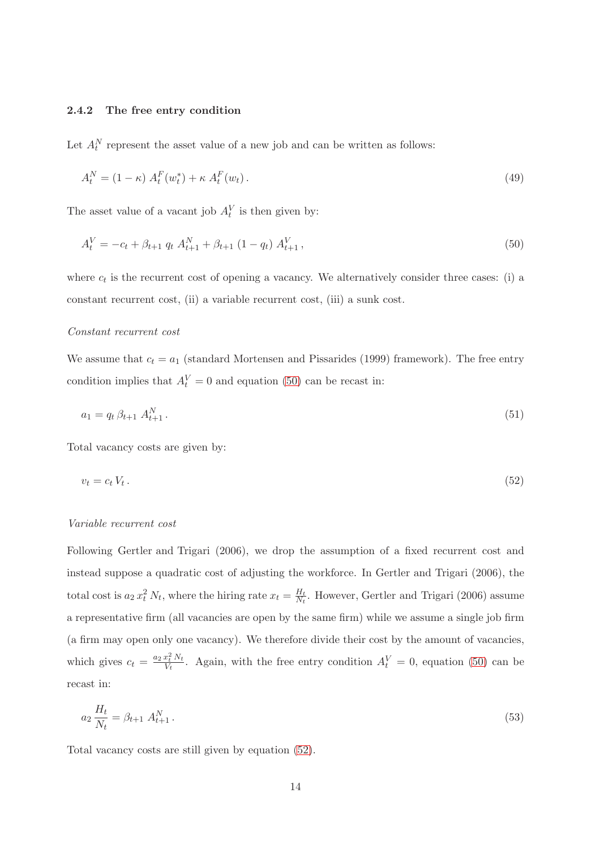### 2.4.2 The free entry condition

Let  $A_t^N$  represent the asset value of a new job and can be written as follows:

<span id="page-15-0"></span>
$$
A_t^N = (1 - \kappa) A_t^F(w_t^*) + \kappa A_t^F(w_t).
$$
\n(49)

The asset value of a vacant job  $A_t^V$  is then given by:

$$
A_t^V = -c_t + \beta_{t+1} q_t A_{t+1}^N + \beta_{t+1} (1 - q_t) A_{t+1}^V,
$$
\n(50)

where  $c_t$  is the recurrent cost of opening a vacancy. We alternatively consider three cases: (i) a constant recurrent cost, (ii) a variable recurrent cost, (iii) a sunk cost.

### Constant recurrent cost

We assume that  $c_t = a_1$  (standard [Mortensen and Pissarides \(1999\)](#page-28-7) framework). The free entry condition implies that  $A_t^V = 0$  and equation [\(50\)](#page-15-0) can be recast in:

<span id="page-15-1"></span>
$$
a_1 = q_t \,\beta_{t+1} \, A_{t+1}^N \,. \tag{51}
$$

Total vacancy costs are given by:

$$
v_t = c_t V_t. \tag{52}
$$

### Variable recurrent cost

Following [Gertler and Trigari \(2006\)](#page-27-3), we drop the assumption of a fixed recurrent cost and instead suppose a quadratic cost of adjusting the workforce. In [Gertler and Trigari \(2006\)](#page-27-3), the total cost is  $a_2 x_t^2 N_t$ , where the hiring rate  $x_t = \frac{H_t}{N_t}$  $\frac{H_t}{N_t}$ . However, [Gertler and Trigari \(2006\)](#page-27-3) assume a representative firm (all vacancies are open by the same firm) while we assume a single job firm (a firm may open only one vacancy). We therefore divide their cost by the amount of vacancies, which gives  $c_t = \frac{a_2 x_t^2 N_t}{V_t}$  $\frac{x_t^2 N_t}{V_t}$ . Again, with the free entry condition  $A_t^V = 0$ , equation [\(50\)](#page-15-0) can be recast in:

$$
a_2 \frac{H_t}{N_t} = \beta_{t+1} A_{t+1}^N \,. \tag{53}
$$

Total vacancy costs are still given by equation [\(52\)](#page-15-1).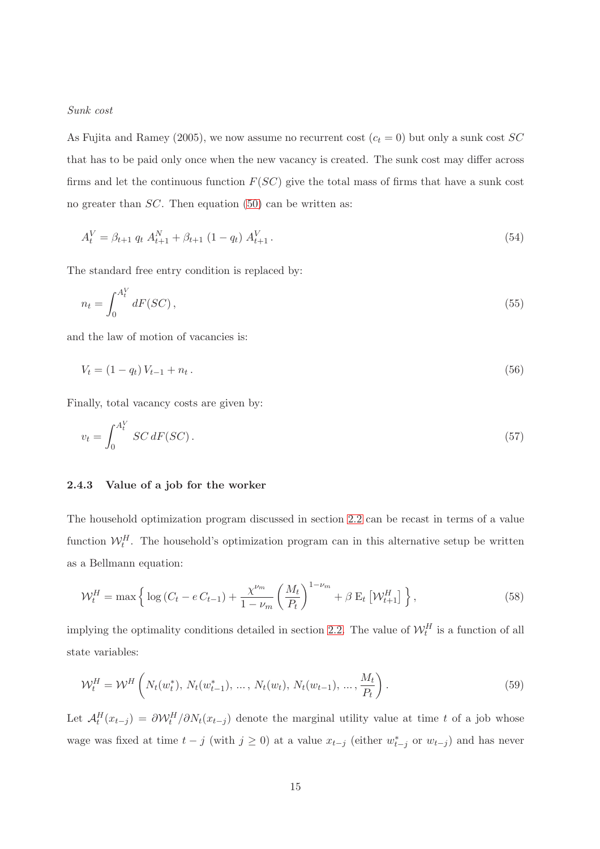### Sunk cost

As [Fujita and Ramey](#page-27-10) [\(2005](#page-27-10)), we now assume no recurrent cost  $(c_t = 0)$  but only a sunk cost  $SC$ that has to be paid only once when the new vacancy is created. The sunk cost may differ across firms and let the continuous function  $F(SC)$  give the total mass of firms that have a sunk cost no greater than *SC*. Then equation [\(50\)](#page-15-0) can be written as:

$$
A_t^V = \beta_{t+1} q_t A_{t+1}^N + \beta_{t+1} (1 - q_t) A_{t+1}^V.
$$
\n(54)

The standard free entry condition is replaced by:

$$
n_t = \int_0^{A_t^V} dF(SC),\tag{55}
$$

and the law of motion of vacancies is:

$$
V_t = (1 - q_t) V_{t-1} + n_t. \tag{56}
$$

Finally, total vacancy costs are given by:

$$
v_t = \int_0^{A_t^V} SC \, dF(SC). \tag{57}
$$

### 2.4.3 Value of a job for the worker

The household optimization program discussed in section [2.2](#page-6-0) can be recast in terms of a value function  $\mathcal{W}_t^H$ . The household's optimization program can in this alternative setup be written as a Bellmann equation:

<span id="page-16-0"></span>
$$
\mathcal{W}_t^H = \max\left\{\log\left(C_t - e\,C_{t-1}\right) + \frac{\chi^{\nu_m}}{1 - \nu_m} \left(\frac{M_t}{P_t}\right)^{1 - \nu_m} + \beta \, \mathcal{E}_t\left[\mathcal{W}_{t+1}^H\right]\right\},\tag{58}
$$

implying the optimality conditions detailed in section [2.2.](#page-6-0) The value of  $\mathcal{W}_t^H$  is a function of all state variables:

$$
\mathcal{W}_t^H = \mathcal{W}^H \left( N_t(w_t^*), N_t(w_{t-1}^*), \dots, N_t(w_t), N_t(w_{t-1}), \dots, \frac{M_t}{P_t} \right).
$$
\n(59)

Let  $\mathcal{A}_t^H(x_{t-j}) = \partial \mathcal{W}_t^H/\partial N_t(x_{t-j})$  denote the marginal utility value at time t of a job whose wage was fixed at time  $t - j$  (with  $j \ge 0$ ) at a value  $x_{t-j}$  (either  $w_{t-j}^*$  or  $w_{t-j}$ ) and has never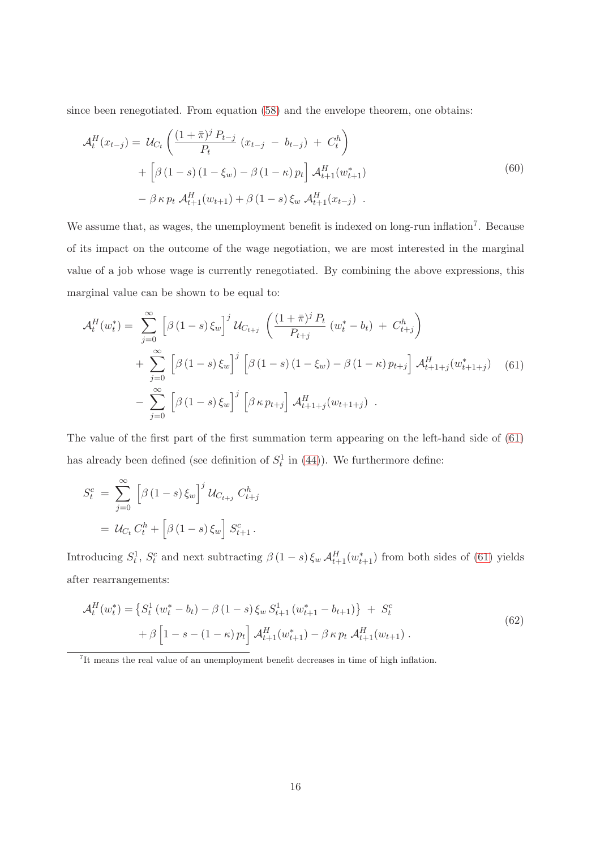since been renegotiated. From equation [\(58\)](#page-16-0) and the envelope theorem, one obtains:

$$
\mathcal{A}_t^H(x_{t-j}) = \mathcal{U}_{C_t} \left( \frac{(1+\bar{\pi})^j P_{t-j}}{P_t} (x_{t-j} - b_{t-j}) + C_t^h \right) + \left[ \beta (1-s) (1-\xi_w) - \beta (1-\kappa) p_t \right] \mathcal{A}_{t+1}^H(w_{t+1}^*) - \beta \kappa p_t \mathcal{A}_{t+1}^H(w_{t+1}) + \beta (1-s) \xi_w \mathcal{A}_{t+1}^H(x_{t-j})
$$
\n(60)

We assume that, as wages, the unemployment benefit is indexed on long-run inflation<sup>[7](#page-17-0)</sup>. Because of its impact on the outcome of the wage negotiation, we are most interested in the marginal value of a job whose wage is currently renegotiated. By combining the above expressions, this marginal value can be shown to be equal to:

<span id="page-17-1"></span>
$$
\mathcal{A}_t^H(w_t^*) = \sum_{j=0}^{\infty} \left[ \beta (1-s) \xi_w \right]^j \mathcal{U}_{C_{t+j}} \left( \frac{(1+\bar{\pi})^j P_t}{P_{t+j}} (w_t^* - b_t) + C_{t+j}^h \right) + \sum_{j=0}^{\infty} \left[ \beta (1-s) \xi_w \right]^j \left[ \beta (1-s) (1-\xi_w) - \beta (1-\kappa) p_{t+j} \right] \mathcal{A}_{t+1+j}^H(w_{t+1+j}^*) \quad (61) - \sum_{j=0}^{\infty} \left[ \beta (1-s) \xi_w \right]^j \left[ \beta \kappa p_{t+j} \right] \mathcal{A}_{t+1+j}^H(w_{t+1+j}) .
$$

The value of the first part of the first summation term appearing on the left-hand side of [\(61\)](#page-17-1) has already been defined (see definition of  $S_t^1$  in [\(44\)](#page-14-1)). We furthermore define:

$$
S_t^c = \sum_{j=0}^{\infty} \left[ \beta (1-s) \xi_w \right]^j \mathcal{U}_{C_{t+j}} C_{t+j}^h
$$

$$
= \mathcal{U}_{C_t} C_t^h + \left[ \beta (1-s) \xi_w \right] S_{t+1}^c.
$$

Introducing  $S_t^1$ ,  $S_t^c$  and next subtracting  $\beta(1-s)\xi_w A_{t+1}^H(w_{t+1}^*)$  from both sides of [\(61\)](#page-17-1) yields after rearrangements:

$$
\mathcal{A}_t^H(w_t^*) = \left\{ S_t^1 \left( w_t^* - b_t \right) - \beta \left( 1 - s \right) \xi_w \, S_{t+1}^1 \left( w_{t+1}^* - b_{t+1} \right) \right\} \; + \; S_t^c
$$
\n
$$
+ \; \beta \left[ 1 - s - \left( 1 - \kappa \right) p_t \right] \, \mathcal{A}_{t+1}^H(w_{t+1}^*) - \beta \, \kappa \, p_t \, \mathcal{A}_{t+1}^H(w_{t+1}) \; . \tag{62}
$$

<span id="page-17-0"></span>7 It means the real value of an unemployment benefit decreases in time of high inflation.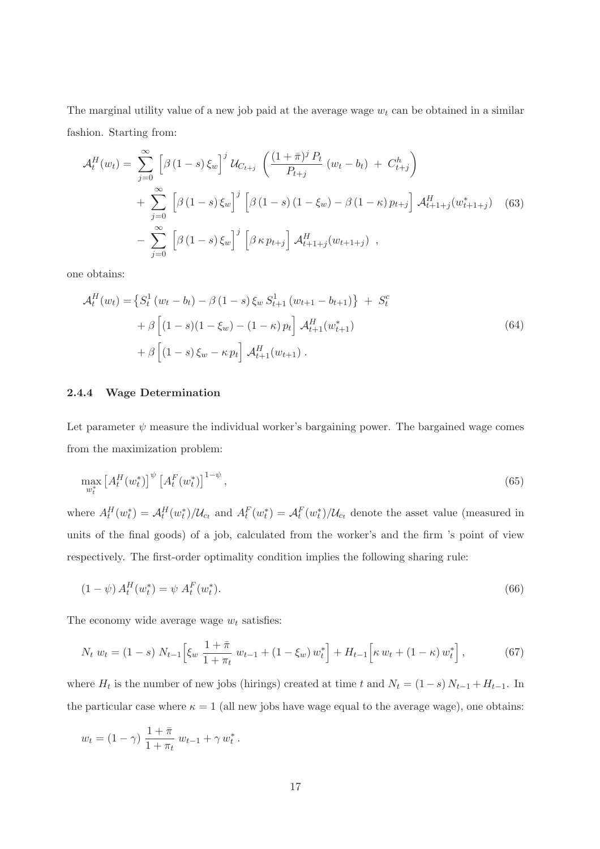The marginal utility value of a new job paid at the average wage  $w_t$  can be obtained in a similar fashion. Starting from:

$$
\mathcal{A}_t^H(w_t) = \sum_{j=0}^{\infty} \left[ \beta (1-s) \xi_w \right]^j \mathcal{U}_{C_{t+j}} \left( \frac{(1+\bar{\pi})^j P_t}{P_{t+j}} (w_t - b_t) + C_{t+j}^h \right) + \sum_{j=0}^{\infty} \left[ \beta (1-s) \xi_w \right]^j \left[ \beta (1-s) (1-\xi_w) - \beta (1-\kappa) p_{t+j} \right] \mathcal{A}_{t+1+j}^H(w_{t+1+j}^*) \quad (63) - \sum_{j=0}^{\infty} \left[ \beta (1-s) \xi_w \right]^j \left[ \beta \kappa p_{t+j} \right] \mathcal{A}_{t+1+j}^H(w_{t+1+j}) ,
$$

one obtains:

$$
\mathcal{A}_t^H(w_t) = \left\{ S_t^1 \left( w_t - b_t \right) - \beta \left( 1 - s \right) \xi_w \ S_{t+1}^1 \left( w_{t+1} - b_{t+1} \right) \right\} \ + \ S_t^c
$$

$$
+ \beta \left[ (1 - s)(1 - \xi_w) - (1 - \kappa) p_t \right] \mathcal{A}_{t+1}^H(w_{t+1}^*)
$$

$$
+ \beta \left[ (1 - s) \xi_w - \kappa p_t \right] \mathcal{A}_{t+1}^H(w_{t+1}). \tag{64}
$$

### 2.4.4 Wage Determination

Let parameter  $\psi$  measure the individual worker's bargaining power. The bargained wage comes from the maximization problem:

$$
\max_{w_t^*} \left[ A_t^H(w_t^*) \right]^{\psi} \left[ A_t^F(w_t^*) \right]^{1-\psi},\tag{65}
$$

where  $A_t^H(w_t^*$  $t^*$ ) =  $\mathcal{A}_t^H(w_t^*)$  $\mathcal{H}_t^*(w_t^*)$  and  $A_t^F(w_t^*)$  $t^*$ ) =  $\mathcal{A}_t^F(w_t^*)$  $t^*$ )/ $\mathcal{U}_{c_t}$  denote the asset value (measured in units of the final goods) of a job, calculated from the worker's and the firm 's point of view respectively. The first-order optimality condition implies the following sharing rule:

$$
(1 - \psi) A_t^H(w_t^*) = \psi A_t^F(w_t^*).
$$
\n(66)

The economy wide average wage  $w_t$  satisfies:

$$
N_t w_t = (1 - s) N_{t-1} \left[ \xi_w \frac{1 + \bar{\pi}}{1 + \pi_t} w_{t-1} + (1 - \xi_w) w_t^* \right] + H_{t-1} \left[ \kappa w_t + (1 - \kappa) w_t^* \right], \tag{67}
$$

where  $H_t$  is the number of new jobs (hirings) created at time t and  $N_t = (1-s) N_{t-1} + H_{t-1}$ . In the particular case where  $\kappa = 1$  (all new jobs have wage equal to the average wage), one obtains:

$$
w_t = (1 - \gamma) \frac{1 + \bar{\pi}}{1 + \pi_t} w_{t-1} + \gamma w_t^*.
$$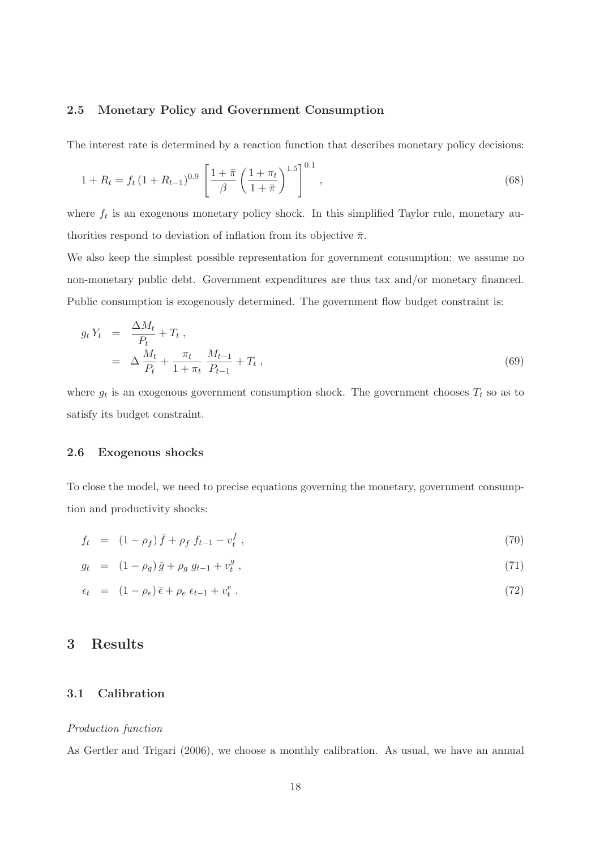### 2.5 Monetary Policy and Government Consumption

The interest rate is determined by a reaction function that describes monetary policy decisions:

$$
1 + R_t = f_t \left(1 + R_{t-1}\right)^{0.9} \left[\frac{1 + \bar{\pi}}{\beta} \left(\frac{1 + \pi_t}{1 + \bar{\pi}}\right)^{1.5}\right]^{0.1},\tag{68}
$$

where  $f_t$  is an exogenous monetary policy shock. In this simplified Taylor rule, monetary authorities respond to deviation of inflation from its objective  $\bar{\pi}$ .

We also keep the simplest possible representation for government consumption: we assume no non-monetary public debt. Government expenditures are thus tax and/or monetary financed. Public consumption is exogenously determined. The government flow budget constraint is:

$$
g_t Y_t = \frac{\Delta M_t}{P_t} + T_t ,
$$
  
=  $\Delta \frac{M_t}{P_t} + \frac{\pi_t}{1 + \pi_t} \frac{M_{t-1}}{P_{t-1}} + T_t ,$  (69)

where  $g_t$  is an exogenous government consumption shock. The government chooses  $T_t$  so as to satisfy its budget constraint.

### 2.6 Exogenous shocks

To close the model, we need to precise equations governing the monetary, government consumption and productivity shocks:

$$
f_t = (1 - \rho_f) \bar{f} + \rho_f f_{t-1} - v_t^f , \qquad (70)
$$

$$
g_t = (1 - \rho_g) \bar{g} + \rho_g g_{t-1} + v_t^g , \qquad (71)
$$

$$
\epsilon_t = (1 - \rho_e)\bar{\epsilon} + \rho_e \epsilon_{t-1} + v_t^e. \tag{72}
$$

### 3 Results

### 3.1 Calibration

### Production function

As [Gertler and Trigari \(2006\)](#page-27-3), we choose a monthly calibration. As usual, we have an annual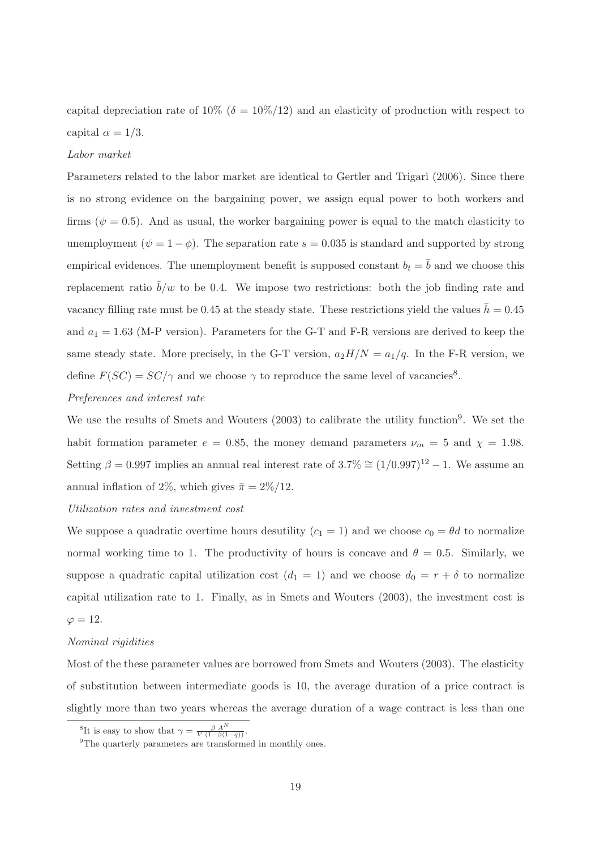capital depreciation rate of  $10\%$  ( $\delta = 10\%/12$ ) and an elasticity of production with respect to capital  $\alpha = 1/3$ .

### Labor market

Parameters related to the labor market are identical to [Gertler and Trigari \(2006\)](#page-27-3). Since there is no strong evidence on the bargaining power, we assign equal power to both workers and firms ( $\psi = 0.5$ ). And as usual, the worker bargaining power is equal to the match elasticity to unemployment ( $\psi = 1 - \phi$ ). The separation rate  $s = 0.035$  is standard and supported by strong empirical evidences. The unemployment benefit is supposed constant  $b_t = b$  and we choose this replacement ratio  $\bar{b}/w$  to be 0.4. We impose two restrictions: both the job finding rate and vacancy filling rate must be 0.45 at the steady state. These restrictions yield the values  $h = 0.45$ and  $a_1 = 1.63$  (M-P version). Parameters for the G-T and F-R versions are derived to keep the same steady state. More precisely, in the G-T version,  $a_2H/N = a_1/q$ . In the F-R version, we define  $F(SC) = SC/\gamma$  and we choose  $\gamma$  to reproduce the same level of vacancies<sup>[8](#page-20-0)</sup>.

### Preferences and interest rate

We use the results of [Smets and Wouters \(2003](#page-28-6)) to calibrate the utility function<sup>[9](#page-20-1)</sup>. We set the habit formation parameter  $e = 0.85$ , the money demand parameters  $\nu_m = 5$  and  $\chi = 1.98$ . Setting  $\beta = 0.997$  implies an annual real interest rate of  $3.7\% \approx (1/0.997)^{12} - 1$ . We assume an annual inflation of 2%, which gives  $\bar{\pi} = 2\%/12$ .

### Utilization rates and investment cost

We suppose a quadratic overtime hours desutility  $(c_1 = 1)$  and we choose  $c_0 = \theta d$  to normalize normal working time to 1. The productivity of hours is concave and  $\theta = 0.5$ . Similarly, we suppose a quadratic capital utilization cost  $(d_1 = 1)$  and we choose  $d_0 = r + \delta$  to normalize capital utilization rate to 1. Finally, as in [Smets and Wouters](#page-28-6) [\(2003](#page-28-6)), the investment cost is  $\varphi = 12$ .

### Nominal rigidities

Most of the these parameter values are borrowed from [Smets and Wouters \(2003\)](#page-28-6). The elasticity of substitution between intermediate goods is 10, the average duration of a price contract is slightly more than two years whereas the average duration of a wage contract is less than one

<sup>&</sup>lt;sup>8</sup>It is easy to show that  $\gamma = \frac{\beta A^N}{V(1-\beta(1-q))}$ .

<span id="page-20-1"></span><span id="page-20-0"></span><sup>&</sup>lt;sup>9</sup>The quarterly parameters are transformed in monthly ones.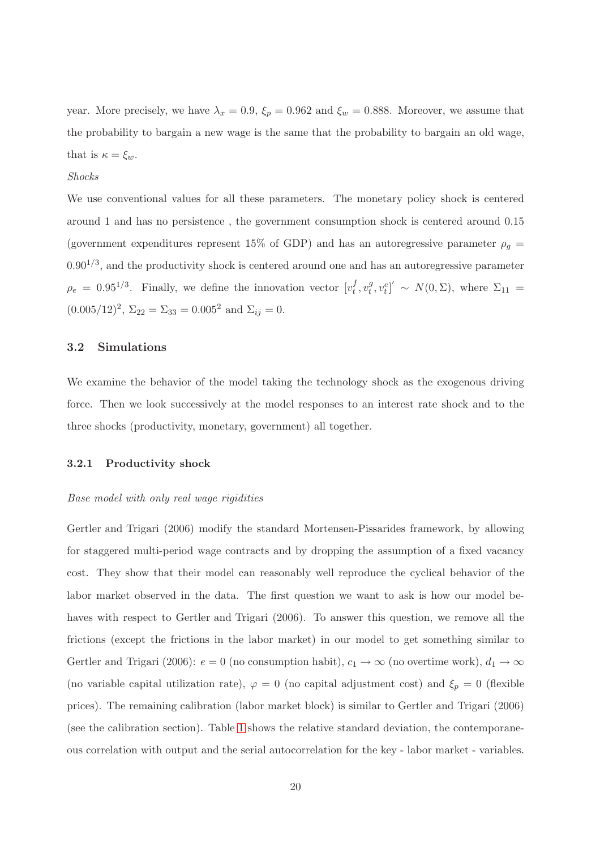year. More precisely, we have  $\lambda_x = 0.9$ ,  $\xi_p = 0.962$  and  $\xi_w = 0.888$ . Moreover, we assume that the probability to bargain a new wage is the same that the probability to bargain an old wage, that is  $\kappa = \xi_w$ .

#### Shocks

We use conventional values for all these parameters. The monetary policy shock is centered around 1 and has no persistence , the government consumption shock is centered around 0.15 (government expenditures represent 15% of GDP) and has an autoregressive parameter  $\rho_g$  =  $0.90^{1/3}$ , and the productivity shock is centered around one and has an autoregressive parameter  $\rho_e = 0.95^{1/3}$ . Finally, we define the innovation vector  $[v_t^f$  $_t^f, v_t^g$  $\left[g_t^g, v_t^e\right]' \sim N(0, \Sigma)$ , where  $\Sigma_{11} =$  $(0.005/12)^2$ ,  $\Sigma_{22} = \Sigma_{33} = 0.005^2$  and  $\Sigma_{ij} = 0$ .

### 3.2 Simulations

We examine the behavior of the model taking the technology shock as the exogenous driving force. Then we look successively at the model responses to an interest rate shock and to the three shocks (productivity, monetary, government) all together.

### 3.2.1 Productivity shock

#### Base model with only real wage rigidities

[Gertler and Trigari \(2006](#page-27-3)) modify the standard Mortensen-Pissarides framework, by allowing for staggered multi-period wage contracts and by dropping the assumption of a fixed vacancy cost. They show that their model can reasonably well reproduce the cyclical behavior of the labor market observed in the data. The first question we want to ask is how our model behaves with respect to [Gertler and Trigari \(2006](#page-27-3)). To answer this question, we remove all the frictions (except the frictions in the labor market) in our model to get something similar to [Gertler and Trigari \(2006\)](#page-27-3):  $e = 0$  (no consumption habit),  $c_1 \rightarrow \infty$  (no overtime work),  $d_1 \rightarrow \infty$ (no variable capital utilization rate),  $\varphi = 0$  (no capital adjustment cost) and  $\xi_p = 0$  (flexible prices). The remaining calibration (labor market block) is similar to [Gertler and Trigari \(2006\)](#page-27-3) (see the calibration section). Table [1](#page-33-0) shows the relative standard deviation, the contemporaneous correlation with output and the serial autocorrelation for the key - labor market - variables.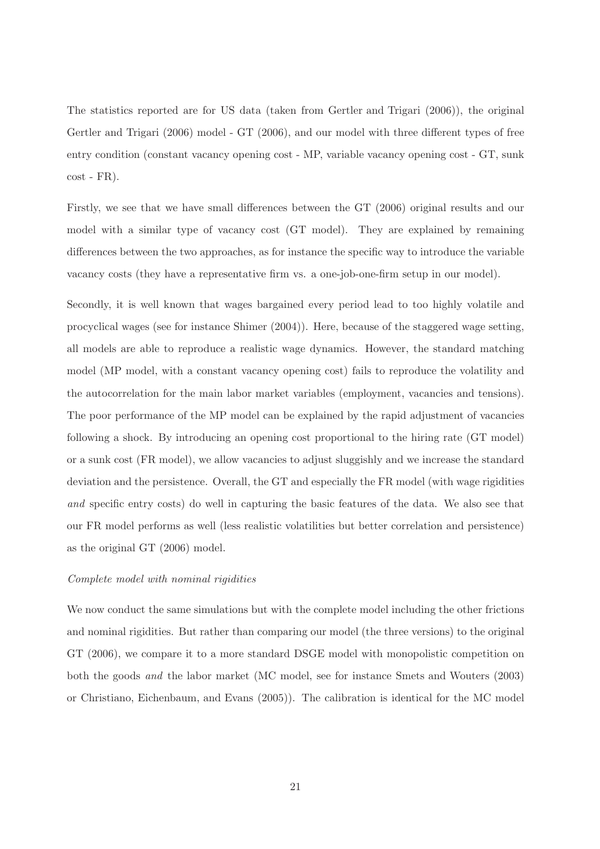The statistics reported are for US data (taken from [Gertler and Trigari \(2006\)](#page-27-3)), the original [Gertler and Trigari \(2006](#page-27-3)) model - GT (2006), and our model with three different types of free entry condition (constant vacancy opening cost - MP, variable vacancy opening cost - GT, sunk cost - FR).

Firstly, we see that we have small differences between the GT (2006) original results and our model with a similar type of vacancy cost (GT model). They are explained by remaining differences between the two approaches, as for instance the specific way to introduce the variable vacancy costs (they have a representative firm vs. a one-job-one-firm setup in our model).

Secondly, it is well known that wages bargained every period lead to too highly volatile and procyclical wages (see for instance [Shimer](#page-28-1) [\(2004](#page-28-1))). Here, because of the staggered wage setting, all models are able to reproduce a realistic wage dynamics. However, the standard matching model (MP model, with a constant vacancy opening cost) fails to reproduce the volatility and the autocorrelation for the main labor market variables (employment, vacancies and tensions). The poor performance of the MP model can be explained by the rapid adjustment of vacancies following a shock. By introducing an opening cost proportional to the hiring rate (GT model) or a sunk cost (FR model), we allow vacancies to adjust sluggishly and we increase the standard deviation and the persistence. Overall, the GT and especially the FR model (with wage rigidities and specific entry costs) do well in capturing the basic features of the data. We also see that our FR model performs as well (less realistic volatilities but better correlation and persistence) as the original GT (2006) model.

### Complete model with nominal rigidities

We now conduct the same simulations but with the complete model including the other frictions and nominal rigidities. But rather than comparing our model (the three versions) to the original GT (2006), we compare it to a more standard DSGE model with monopolistic competition on both the goods and the labor market (MC model, see for instance [Smets and Wouters \(2003\)](#page-28-6) or [Christiano, Eichenbaum, and Evans](#page-27-9) [\(2005](#page-27-9))). The calibration is identical for the MC model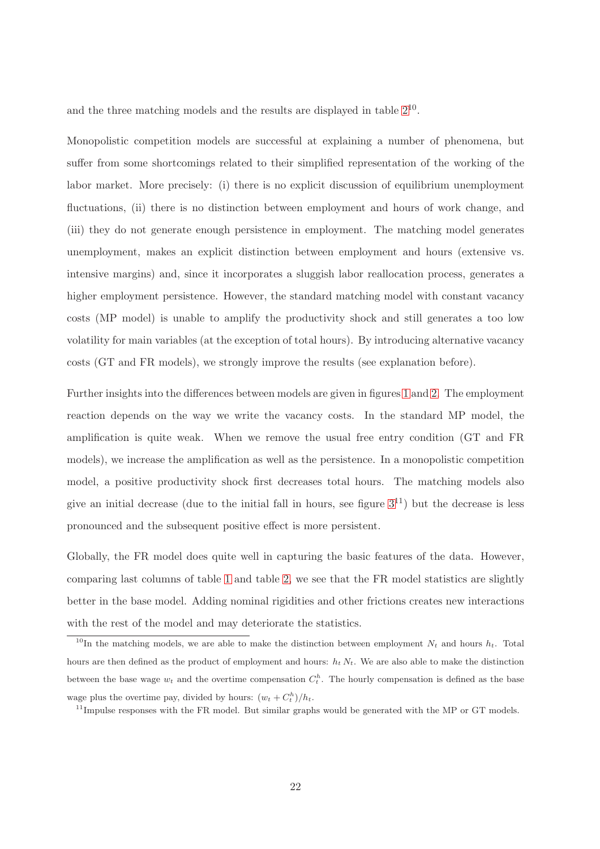and the three matching models and the results are displayed in table  $2^{10}$  $2^{10}$  $2^{10}$ .

Monopolistic competition models are successful at explaining a number of phenomena, but suffer from some shortcomings related to their simplified representation of the working of the labor market. More precisely: (i) there is no explicit discussion of equilibrium unemployment fluctuations, (ii) there is no distinction between employment and hours of work change, and (iii) they do not generate enough persistence in employment. The matching model generates unemployment, makes an explicit distinction between employment and hours (extensive vs. intensive margins) and, since it incorporates a sluggish labor reallocation process, generates a higher employment persistence. However, the standard matching model with constant vacancy costs (MP model) is unable to amplify the productivity shock and still generates a too low volatility for main variables (at the exception of total hours). By introducing alternative vacancy costs (GT and FR models), we strongly improve the results (see explanation before).

Further insights into the differences between models are given in figures [1](#page-35-0) and [2.](#page-35-1) The employment reaction depends on the way we write the vacancy costs. In the standard MP model, the amplification is quite weak. When we remove the usual free entry condition (GT and FR models), we increase the amplification as well as the persistence. In a monopolistic competition model, a positive productivity shock first decreases total hours. The matching models also give an initial decrease (due to the initial fall in hours, see figure  $3^{11}$  $3^{11}$  $3^{11}$ ) but the decrease is less pronounced and the subsequent positive effect is more persistent.

Globally, the FR model does quite well in capturing the basic features of the data. However, comparing last columns of table [1](#page-33-0) and table [2,](#page-34-0) we see that the FR model statistics are slightly better in the base model. Adding nominal rigidities and other frictions creates new interactions with the rest of the model and may deteriorate the statistics.

<span id="page-23-0"></span><sup>&</sup>lt;sup>10</sup>In the matching models, we are able to make the distinction between employment  $N_t$  and hours  $h_t$ . Total hours are then defined as the product of employment and hours:  $h_t N_t$ . We are also able to make the distinction between the base wage  $w_t$  and the overtime compensation  $C_t^h$ . The hourly compensation is defined as the base wage plus the overtime pay, divided by hours:  $(w_t + C_t^h)/h_t$ .

<span id="page-23-1"></span> $11$ Impulse responses with the FR model. But similar graphs would be generated with the MP or GT models.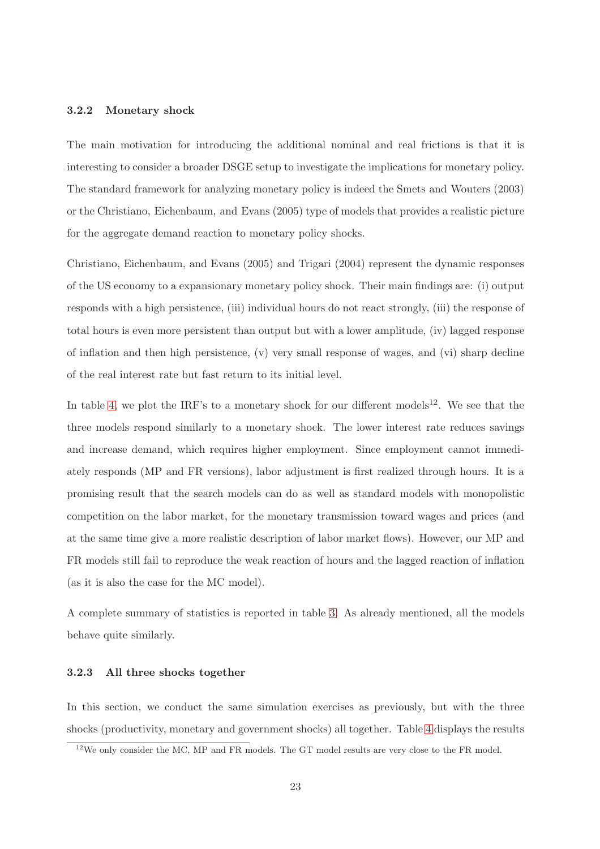### 3.2.2 Monetary shock

The main motivation for introducing the additional nominal and real frictions is that it is interesting to consider a broader DSGE setup to investigate the implications for monetary policy. The standard framework for analyzing monetary policy is indeed the [Smets and Wouters \(2003\)](#page-28-6) or the [Christiano, Eichenbaum, and Evans \(2005](#page-27-9)) type of models that provides a realistic picture for the aggregate demand reaction to monetary policy shocks.

[Christiano, Eichenbaum, and Evans \(2005](#page-27-9)) and [Trigari \(2004\)](#page-28-4) represent the dynamic responses of the US economy to a expansionary monetary policy shock. Their main findings are: (i) output responds with a high persistence, (iii) individual hours do not react strongly, (iii) the response of total hours is even more persistent than output but with a lower amplitude, (iv) lagged response of inflation and then high persistence, (v) very small response of wages, and (vi) sharp decline of the real interest rate but fast return to its initial level.

In table [4,](#page-36-0) we plot the IRF's to a monetary shock for our different models<sup>[12](#page-24-0)</sup>. We see that the three models respond similarly to a monetary shock. The lower interest rate reduces savings and increase demand, which requires higher employment. Since employment cannot immediately responds (MP and FR versions), labor adjustment is first realized through hours. It is a promising result that the search models can do as well as standard models with monopolistic competition on the labor market, for the monetary transmission toward wages and prices (and at the same time give a more realistic description of labor market flows). However, our MP and FR models still fail to reproduce the weak reaction of hours and the lagged reaction of inflation (as it is also the case for the MC model).

A complete summary of statistics is reported in table [3.](#page-37-0) As already mentioned, all the models behave quite similarly.

### 3.2.3 All three shocks together

In this section, we conduct the same simulation exercises as previously, but with the three shocks (productivity, monetary and government shocks) all together. Table [4](#page-38-0) displays the results

<span id="page-24-0"></span><sup>&</sup>lt;sup>12</sup>We only consider the MC, MP and FR models. The GT model results are very close to the FR model.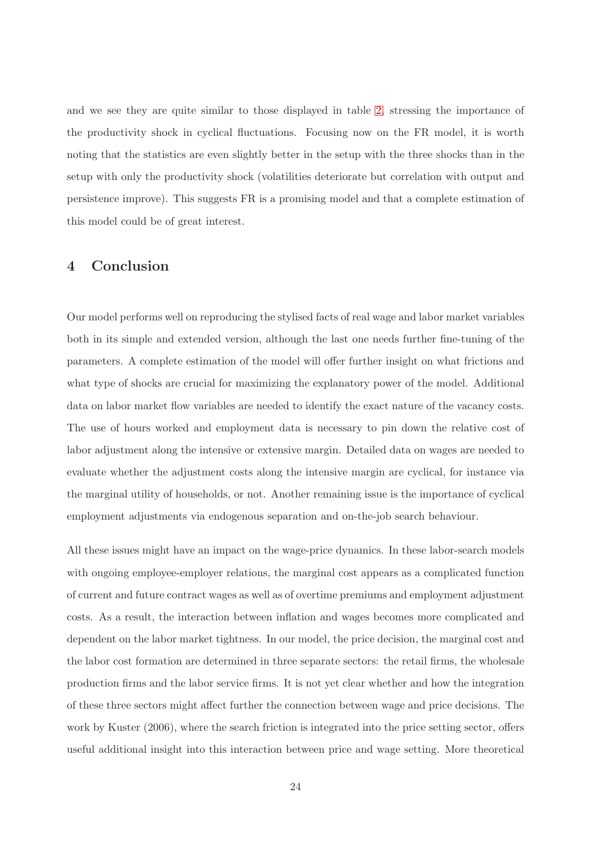and we see they are quite similar to those displayed in table [2,](#page-34-0) stressing the importance of the productivity shock in cyclical fluctuations. Focusing now on the FR model, it is worth noting that the statistics are even slightly better in the setup with the three shocks than in the setup with only the productivity shock (volatilities deteriorate but correlation with output and persistence improve). This suggests FR is a promising model and that a complete estimation of this model could be of great interest.

### 4 Conclusion

Our model performs well on reproducing the stylised facts of real wage and labor market variables both in its simple and extended version, although the last one needs further fine-tuning of the parameters. A complete estimation of the model will offer further insight on what frictions and what type of shocks are crucial for maximizing the explanatory power of the model. Additional data on labor market flow variables are needed to identify the exact nature of the vacancy costs. The use of hours worked and employment data is necessary to pin down the relative cost of labor adjustment along the intensive or extensive margin. Detailed data on wages are needed to evaluate whether the adjustment costs along the intensive margin are cyclical, for instance via the marginal utility of households, or not. Another remaining issue is the importance of cyclical employment adjustments via endogenous separation and on-the-job search behaviour.

All these issues might have an impact on the wage-price dynamics. In these labor-search models with ongoing employee-employer relations, the marginal cost appears as a complicated function of current and future contract wages as well as of overtime premiums and employment adjustment costs. As a result, the interaction between inflation and wages becomes more complicated and dependent on the labor market tightness. In our model, the price decision, the marginal cost and the labor cost formation are determined in three separate sectors: the retail firms, the wholesale production firms and the labor service firms. It is not yet clear whether and how the integration of these three sectors might affect further the connection between wage and price decisions. The work by [Kuster](#page-27-11) [\(2006](#page-27-11)), where the search friction is integrated into the price setting sector, offers useful additional insight into this interaction between price and wage setting. More theoretical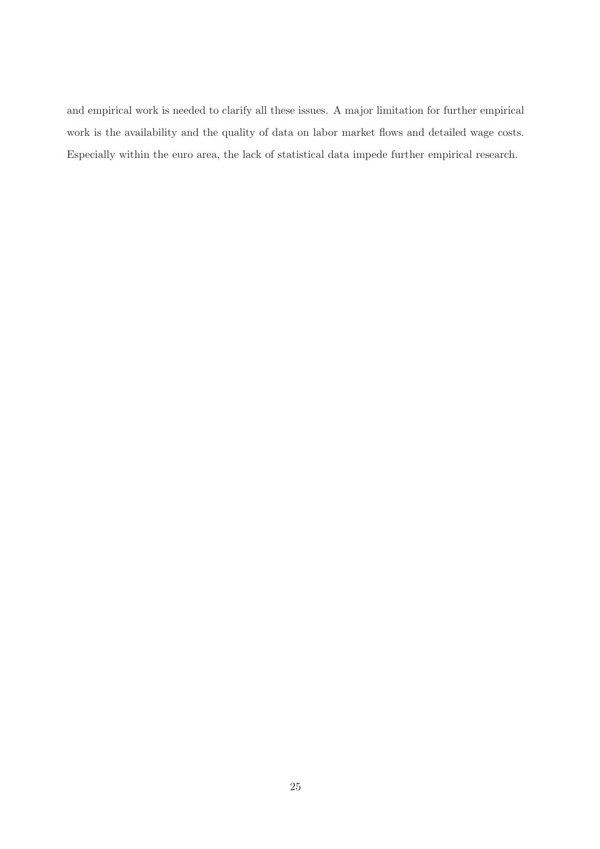and empirical work is needed to clarify all these issues. A major limitation for further empirical work is the availability and the quality of data on labor market flows and detailed wage costs. Especially within the euro area, the lack of statistical data impede further empirical research.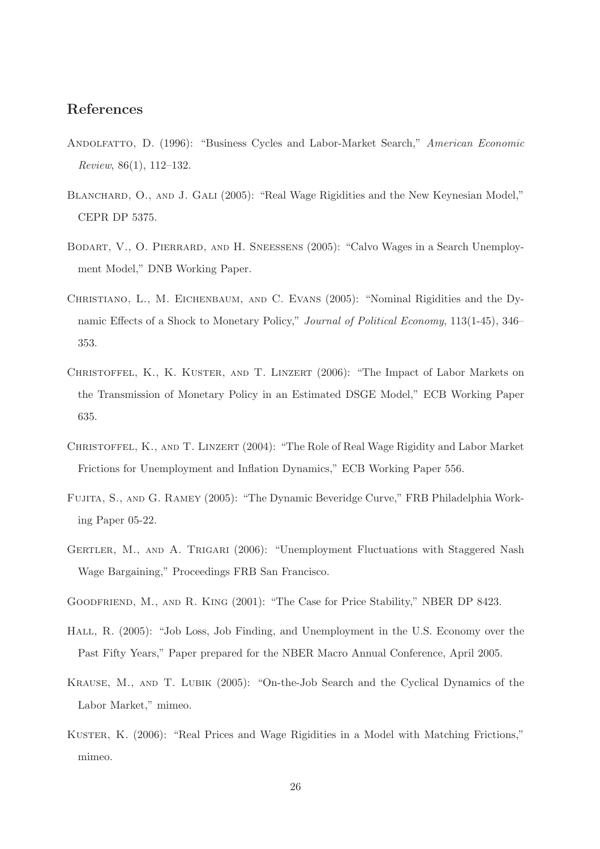### References

- <span id="page-27-0"></span>ANDOLFATTO, D. (1996): "Business Cycles and Labor-Market Search," American Economic Review, 86(1), 112–132.
- <span id="page-27-6"></span>BLANCHARD, O., AND J. GALI (2005): "Real Wage Rigidities and the New Keynesian Model," CEPR DP 5375.
- <span id="page-27-2"></span>Bodart, V., O. Pierrard, and H. Sneessens (2005): "Calvo Wages in a Search Unemployment Model," DNB Working Paper.
- <span id="page-27-9"></span>Christiano, L., M. Eichenbaum, and C. Evans (2005): "Nominal Rigidities and the Dynamic Effects of a Shock to Monetary Policy," Journal of Political Economy, 113(1-45), 346– 353.
- <span id="page-27-7"></span>CHRISTOFFEL, K., K. KUSTER, AND T. LINZERT (2006): "The Impact of Labor Markets on the Transmission of Monetary Policy in an Estimated DSGE Model," ECB Working Paper 635.
- <span id="page-27-5"></span>CHRISTOFFEL, K., AND T. LINZERT (2004): "The Role of Real Wage Rigidity and Labor Market Frictions for Unemployment and Inflation Dynamics," ECB Working Paper 556.
- <span id="page-27-10"></span>Fujita, S., and G. Ramey (2005): "The Dynamic Beveridge Curve," FRB Philadelphia Working Paper 05-22.
- <span id="page-27-3"></span>GERTLER, M., AND A. TRIGARI (2006): "Unemployment Fluctuations with Staggered Nash Wage Bargaining," Proceedings FRB San Francisco.
- <span id="page-27-8"></span>Goodfriend, M., and R. King (2001): "The Case for Price Stability," NBER DP 8423.
- <span id="page-27-1"></span>Hall, R. (2005): "Job Loss, Job Finding, and Unemployment in the U.S. Economy over the Past Fifty Years," Paper prepared for the NBER Macro Annual Conference, April 2005.
- <span id="page-27-4"></span>Krause, M., and T. Lubik (2005): "On-the-Job Search and the Cyclical Dynamics of the Labor Market," mimeo.
- <span id="page-27-11"></span>Kuster, K. (2006): "Real Prices and Wage Rigidities in a Model with Matching Frictions," mimeo.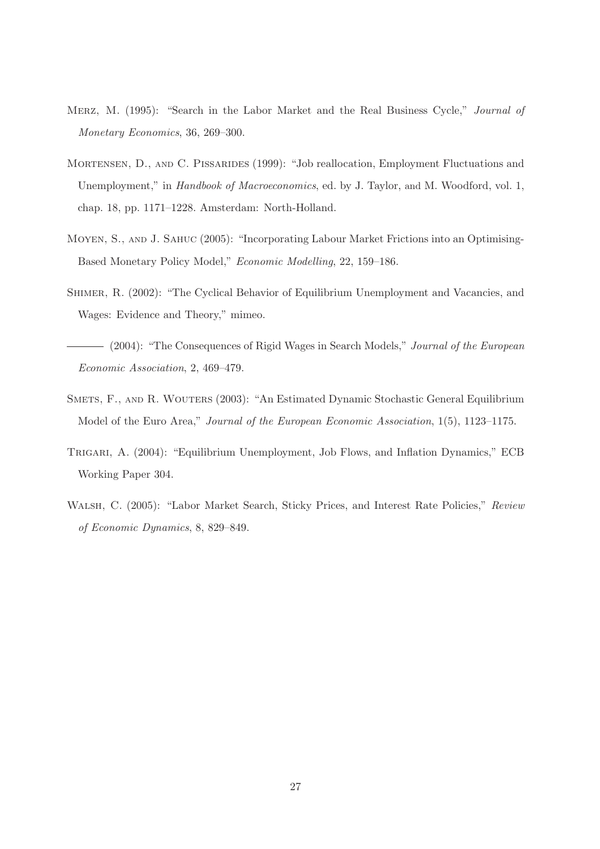- <span id="page-28-2"></span>Merz, M. (1995): "Search in the Labor Market and the Real Business Cycle," Journal of Monetary Economics, 36, 269–300.
- <span id="page-28-7"></span>MORTENSEN, D., AND C. PISSARIDES (1999): "Job reallocation, Employment Fluctuations and Unemployment," in *Handbook of Macroeconomics*, ed. by J. Taylor, and M. Woodford, vol. 1, chap. 18, pp. 1171–1228. Amsterdam: North-Holland.
- <span id="page-28-5"></span>Moyen, S., and J. Sahuc (2005): "Incorporating Labour Market Frictions into an Optimising-Based Monetary Policy Model," Economic Modelling, 22, 159–186.
- <span id="page-28-0"></span>Shimer, R. (2002): "The Cyclical Behavior of Equilibrium Unemployment and Vacancies, and Wages: Evidence and Theory," mimeo.
- <span id="page-28-1"></span>(2004): "The Consequences of Rigid Wages in Search Models," Journal of the European Economic Association, 2, 469–479.
- <span id="page-28-6"></span>SMETS, F., AND R. WOUTERS (2003): "An Estimated Dynamic Stochastic General Equilibrium Model of the Euro Area," Journal of the European Economic Association, 1(5), 1123–1175.
- <span id="page-28-4"></span>Trigari, A. (2004): "Equilibrium Unemployment, Job Flows, and Inflation Dynamics," ECB Working Paper 304.
- <span id="page-28-3"></span>Walsh, C. (2005): "Labor Market Search, Sticky Prices, and Interest Rate Policies," Review of Economic Dynamics, 8, 829–849.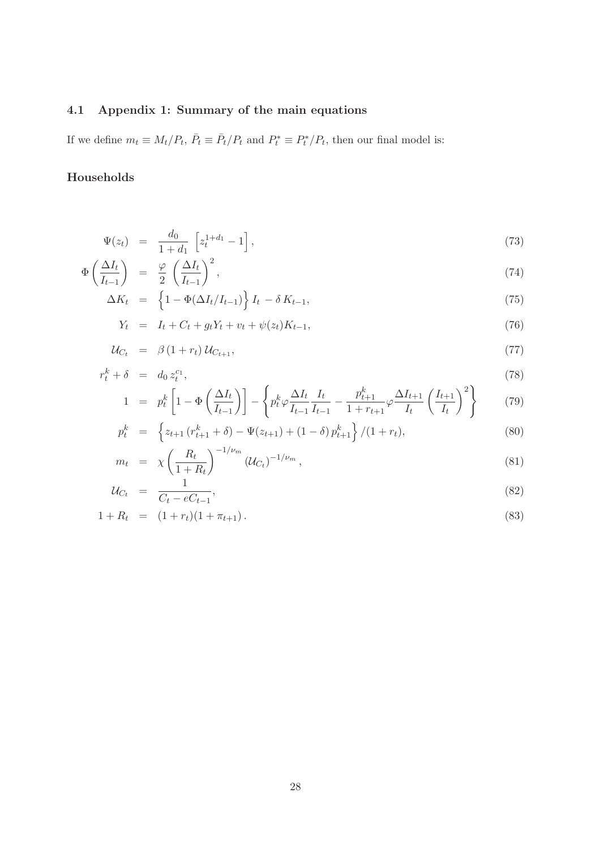# 4.1 Appendix 1: Summary of the main equations

If we define  $m_t \equiv M_t/P_t$ ,  $\bar{P}_t \equiv \bar{P}_t/P_t$  and  $P_t^* \equiv P_t^*/P_t$ , then our final model is:

## Households

$$
\Psi(z_t) = \frac{d_0}{1 + d_1} \left[ z_t^{1 + d_1} - 1 \right],\tag{73}
$$

$$
\Phi\left(\frac{\Delta I_t}{I_{t-1}}\right) = \frac{\varphi}{2} \left(\frac{\Delta I_t}{I_{t-1}}\right)^2,\tag{74}
$$

$$
\Delta K_t = \left\{ 1 - \Phi(\Delta I_t / I_{t-1}) \right\} I_t - \delta K_{t-1}, \tag{75}
$$

$$
Y_t = I_t + C_t + g_t Y_t + v_t + \psi(z_t) K_{t-1}, \tag{76}
$$

$$
\mathcal{U}_{C_t} = \beta \left( 1 + r_t \right) \mathcal{U}_{C_{t+1}}, \tag{77}
$$

$$
r_t^k + \delta = d_0 z_t^{c_1},
$$
\n
$$
\left(\Delta L\right) \left[ \begin{array}{cc} \Delta L & \Delta L & L & p_{t+1}^k & \Delta L + \Delta L + \Delta L \end{array}\right] \tag{78}
$$

$$
1 = p_t^k \left[ 1 - \Phi\left(\frac{\Delta I_t}{I_{t-1}}\right) \right] - \left\{ p_t^k \varphi \frac{\Delta I_t}{I_{t-1}} \frac{I_t}{I_{t-1}} - \frac{p_{t+1}^k}{1 + r_{t+1}} \varphi \frac{\Delta I_{t+1}}{I_t} \left(\frac{I_{t+1}}{I_t}\right)^2 \right\} \tag{79}
$$

$$
p_t^k = \left\{ z_{t+1} \left( r_{t+1}^k + \delta \right) - \Psi(z_{t+1}) + (1 - \delta) p_{t+1}^k \right\} / (1 + r_t), \tag{80}
$$

$$
m_t = \chi \left(\frac{R_t}{1 + R_t}\right)^{-1/\nu_m} (\mathcal{U}_{C_t})^{-1/\nu_m}, \tag{81}
$$

$$
\mathcal{U}_{C_t} = \frac{1}{C_t - eC_{t-1}},\tag{82}
$$

$$
1 + R_t = (1 + r_t)(1 + \pi_{t+1}). \tag{83}
$$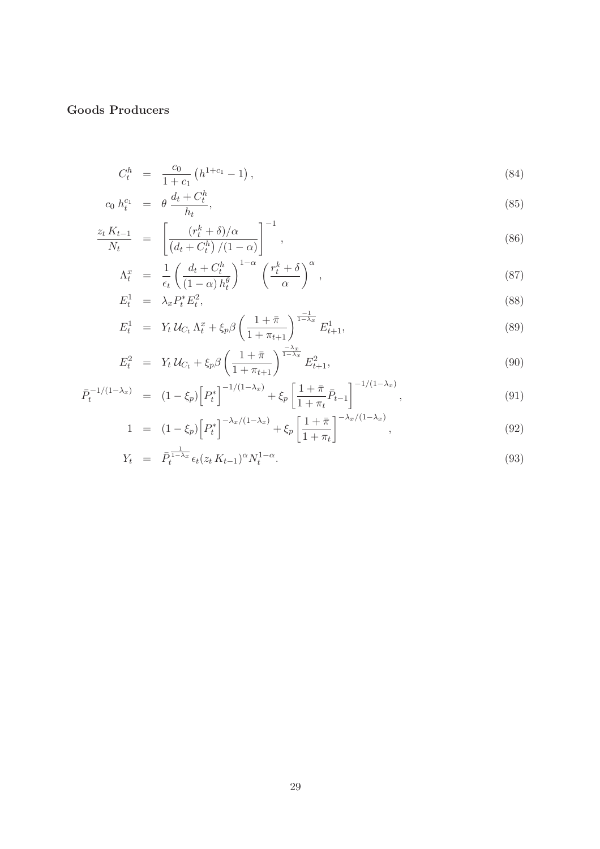# Goods Producers

$$
C_t^h = \frac{c_0}{1+c_1} \left( h^{1+c_1} - 1 \right), \tag{84}
$$

$$
c_0 \; h_t^{c_1} \;\; = \;\; \theta \; \frac{d_t + C_t^h}{h_t},\tag{85}
$$

$$
\frac{z_t K_{t-1}}{N_t} = \left[ \frac{(r_t^k + \delta)/\alpha}{\left(d_t + C_t^h\right)/(1-\alpha)} \right]^{-1},\tag{86}
$$

$$
\Lambda_t^x = \frac{1}{\epsilon_t} \left( \frac{d_t + C_t^h}{(1 - \alpha) h_t^{\theta}} \right)^{1 - \alpha} \left( \frac{r_t^k + \delta}{\alpha} \right)^{\alpha},\tag{87}
$$

$$
E_t^1 = \lambda_x P_t^* E_t^2, \tag{88}
$$

$$
E_t^1 = Y_t U_{C_t} \Lambda_t^x + \xi_p \beta \left( \frac{1 + \bar{\pi}}{1 + \pi_{t+1}} \right)^{\frac{-1}{1 - \lambda_x}} E_{t+1}^1, \tag{89}
$$

$$
E_t^2 = Y_t U_{C_t} + \xi_p \beta \left( \frac{1 + \bar{\pi}}{1 + \pi_{t+1}} \right)^{\frac{-\lambda_x}{1 - \lambda_x}} E_{t+1}^2, \tag{90}
$$

$$
\bar{P}_t^{-1/(1-\lambda_x)} = (1-\xi_p) \left[ P_t^* \right]^{-1/(1-\lambda_x)} + \xi_p \left[ \frac{1+\bar{\pi}}{1+\pi_t} \bar{P}_{t-1} \right]^{-1/(1-\lambda_x)}, \tag{91}
$$

$$
1 = (1 - \xi_p) \left[ P_t^* \right]^{-\lambda_x/(1 - \lambda_x)} + \xi_p \left[ \frac{1 + \bar{\pi}}{1 + \pi_t} \right]^{-\lambda_x/(1 - \lambda_x)}, \tag{92}
$$

$$
Y_t = \bar{P}_t^{\frac{1}{1-\lambda_x}} \epsilon_t (z_t K_{t-1})^\alpha N_t^{1-\alpha}.
$$
\n(93)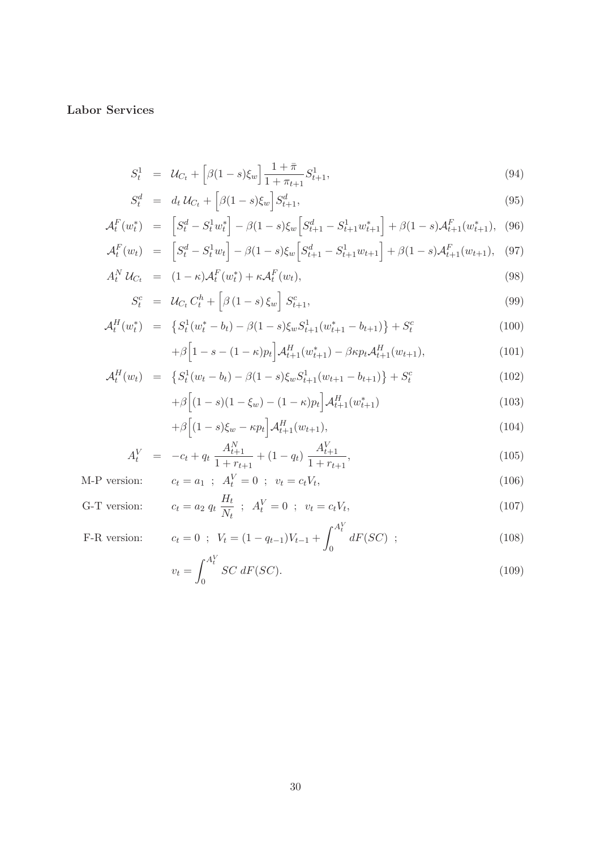Labor Services

$$
S_t^1 = \mathcal{U}_{C_t} + \left[ \beta (1 - s) \xi_w \right] \frac{1 + \bar{\pi}}{1 + \pi_{t+1}} S_{t+1}^1, \tag{94}
$$

$$
S_t^d = d_t \, \mathcal{U}_{C_t} + \left[ \beta (1 - s) \xi_w \right] S_{t+1}^d,\tag{95}
$$

$$
\mathcal{A}_t^F(w_t^*) = \left[S_t^d - S_t^1 w_t^* \right] - \beta (1 - s) \xi_w \left[S_{t+1}^d - S_{t+1}^1 w_{t+1}^* \right] + \beta (1 - s) \mathcal{A}_{t+1}^F(w_{t+1}^*), \tag{96}
$$

$$
\mathcal{A}_t^F(w_t) = \left[S_t^d - S_t^1 w_t\right] - \beta(1 - s)\xi_w \left[S_{t+1}^d - S_{t+1}^1 w_{t+1}\right] + \beta(1 - s)\mathcal{A}_{t+1}^F(w_{t+1}), \tag{97}
$$

$$
A_t^N \mathcal{U}_{C_t} = (1 - \kappa) \mathcal{A}_t^F(w_t^*) + \kappa \mathcal{A}_t^F(w_t), \qquad (98)
$$

$$
S_t^c = \mathcal{U}_{C_t} C_t^h + \left[ \beta (1 - s) \xi_w \right] S_{t+1}^c,
$$
\n(99)

$$
\mathcal{A}_t^H(w_t^*) = \left\{ S_t^1(w_t^* - b_t) - \beta (1 - s) \xi_w S_{t+1}^1(w_{t+1}^* - b_{t+1}) \right\} + S_t^c
$$
\n
$$
+ \beta \left[ 1 - s - (1 - \kappa) p_t \right] \mathcal{A}_{t+1}^H(w_{t+1}^*) - \beta \kappa p_t \mathcal{A}_{t+1}^H(w_{t+1}),
$$
\n(101)

$$
\beta \Big[ 1 - s - (1 - \kappa) p_t \Big] \mathcal{A}_{t+1}^H(w_{t+1}^*) - \beta \kappa p_t \mathcal{A}_{t+1}^H(w_{t+1}), \tag{101}
$$

$$
\mathcal{A}_t^H(w_t) = \left\{ S_t^1(w_t - b_t) - \beta (1 - s) \xi_w S_{t+1}^1(w_{t+1} - b_{t+1}) \right\} + S_t^c \tag{102}
$$

$$
+\beta \left[ (1-s)(1-\xi_w) - (1-\kappa)p_t \right] \mathcal{A}_{t+1}^H(w_{t+1}^*)
$$
\n(103)

$$
+\beta \left[ (1-s)\xi_w - \kappa p_t \right] \mathcal{A}_{t+1}^H(w_{t+1}),\tag{104}
$$

$$
A_t^V = -c_t + q_t \frac{A_{t+1}^N}{1 + r_{t+1}} + (1 - q_t) \frac{A_{t+1}^V}{1 + r_{t+1}},
$$
\n(105)

M-P version: 
$$
c_t = a_1
$$
;  $A_t^V = 0$ ;  $v_t = c_t V_t$ , (106)

G-T version: 
$$
c_t = a_2 q_t \frac{H_t}{N_t} \; ; \; A_t^V = 0 \; ; \; v_t = c_t V_t,
$$
 (107)

F-R version: 
$$
c_t = 0
$$
;  $V_t = (1 - q_{t-1})V_{t-1} + \int_0^{A_t^Y} dF(SC)$ ; (108)

$$
v_t = \int_0^{A_t^V} SC \, dF(SC). \tag{109}
$$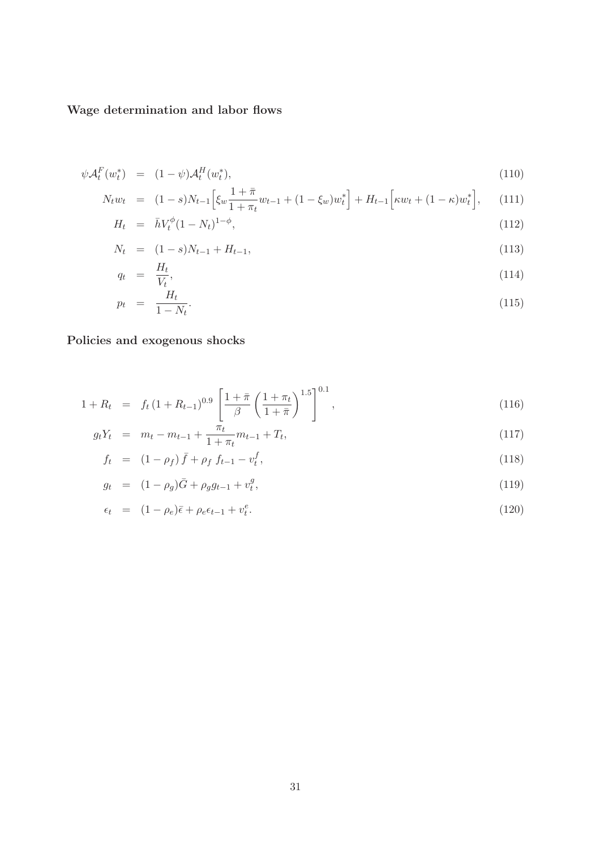# Wage determination and labor flows

$$
\psi \mathcal{A}_t^F(w_t^*) = (1 - \psi) \mathcal{A}_t^H(w_t^*), \tag{110}
$$

$$
N_t w_t = (1 - s)N_{t-1} \left[ \xi_w \frac{1 + \bar{\pi}}{1 + \pi_t} w_{t-1} + (1 - \xi_w) w_t^* \right] + H_{t-1} \left[ \kappa w_t + (1 - \kappa) w_t^* \right], \quad (111)
$$

$$
H_t = \bar{h}V_t^{\phi}(1 - N_t)^{1 - \phi}, \qquad (112)
$$

$$
N_t = (1 - s)N_{t-1} + H_{t-1}, \tag{113}
$$

$$
q_t = \frac{H_t}{V_t},\tag{114}
$$

$$
p_t = \frac{H_t}{1 - N_t}.\tag{115}
$$

# Policies and exogenous shocks

$$
1 + R_t = f_t (1 + R_{t-1})^{0.9} \left[ \frac{1 + \bar{\pi}}{\beta} \left( \frac{1 + \pi_t}{1 + \bar{\pi}} \right)^{1.5} \right]^{0.1}, \tag{116}
$$

$$
g_t Y_t = m_t - m_{t-1} + \frac{\pi_t}{1 + \pi_t} m_{t-1} + T_t, \tag{117}
$$

$$
f_t = (1 - \rho_f) \bar{f} + \rho_f f_{t-1} - v_t^f, \qquad (118)
$$

$$
g_t = (1 - \rho_g)\bar{G} + \rho_g g_{t-1} + v_t^g, \tag{119}
$$

$$
\epsilon_t = (1 - \rho_e)\bar{\epsilon} + \rho_e \epsilon_{t-1} + v_t^e. \tag{120}
$$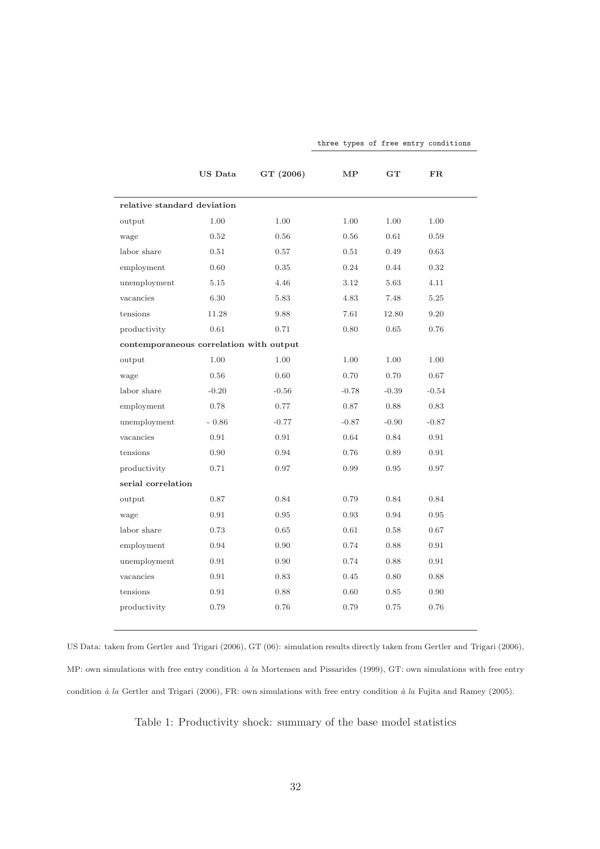|                                         | <b>US</b> Data | GT (2006) | $\bf MP$ | GT      | FR.     |  |  |
|-----------------------------------------|----------------|-----------|----------|---------|---------|--|--|
| relative standard deviation             |                |           |          |         |         |  |  |
| output                                  | 1.00           | 1.00      | 1.00     | 1.00    | 1.00    |  |  |
| wage                                    | 0.52           | 0.56      | 0.56     | 0.61    | 0.59    |  |  |
| labor share                             | 0.51           | 0.57      | 0.51     | 0.49    | 0.63    |  |  |
| employment                              | 0.60           | 0.35      | 0.24     | 0.44    | 0.32    |  |  |
| unemployment                            | 5.15           | 4.46      | 3.12     | 5.63    | 4.11    |  |  |
| vacancies                               | 6.30           | 5.83      | 4.83     | 7.48    | 5.25    |  |  |
| tensions                                | 11.28          | 9.88      | 7.61     | 12.80   | 9.20    |  |  |
| productivity                            | 0.61           | 0.71      | 0.80     | 0.65    | 0.76    |  |  |
| contemporaneous correlation with output |                |           |          |         |         |  |  |
| output                                  | 1.00           | 1.00      | 1.00     | 1.00    | 1.00    |  |  |
| wage                                    | 0.56           | 0.60      | 0.70     | 0.70    | 0.67    |  |  |
| labor share                             | $-0.20$        | $-0.56$   | $-0.78$  | $-0.39$ | $-0.54$ |  |  |
| employment                              | 0.78           | 0.77      | 0.87     | 0.88    | 0.83    |  |  |
| unemployment                            | $-0.86$        | $-0.77$   | $-0.87$  | $-0.90$ | $-0.87$ |  |  |
| vacancies                               | 0.91           | 0.91      | 0.64     | 0.84    | 0.91    |  |  |
| tensions                                | 0.90           | 0.94      | 0.76     | 0.89    | 0.91    |  |  |
| productivity                            | 0.71           | 0.97      | 0.99     | 0.95    | 0.97    |  |  |
| serial correlation                      |                |           |          |         |         |  |  |
| output                                  | 0.87           | 0.84      | 0.79     | 0.84    | 0.84    |  |  |
| wage                                    | 0.91           | 0.95      | 0.93     | 0.94    | 0.95    |  |  |
| labor share                             | 0.73           | 0.65      | 0.61     | 0.58    | 0.67    |  |  |
| employment                              | 0.94           | 0.90      | 0.74     | 0.88    | 0.91    |  |  |
| unemployment                            | 0.91           | 0.90      | 0.74     | 0.88    | 0.91    |  |  |
| vacancies                               | 0.91           | 0.83      | 0.45     | 0.80    | 0.88    |  |  |
| tensions                                | 0.91           | 0.88      | 0.60     | 0.85    | 0.90    |  |  |
| productivity                            | 0.79           | 0.76      | 0.79     | 0.75    | 0.76    |  |  |
|                                         |                |           |          |         |         |  |  |

US Data: taken from [Gertler and Trigari \(2006\)](#page-27-3), GT (06): simulation results directly taken from [Gertler and Trigari \(2006](#page-27-3)), MP: own simulations with free entry condition  $\dot{a}$  la [Mortensen and Pissarides \(1999\)](#page-28-7), GT: own simulations with free entry condition  $\dot{a}$  la [Gertler and Trigari \(2006\)](#page-27-3), FR: own simulations with free entry condition  $\dot{a}$  la [Fujita and Ramey \(2005\)](#page-27-10).

<span id="page-33-0"></span>Table 1: Productivity shock: summary of the base model statistics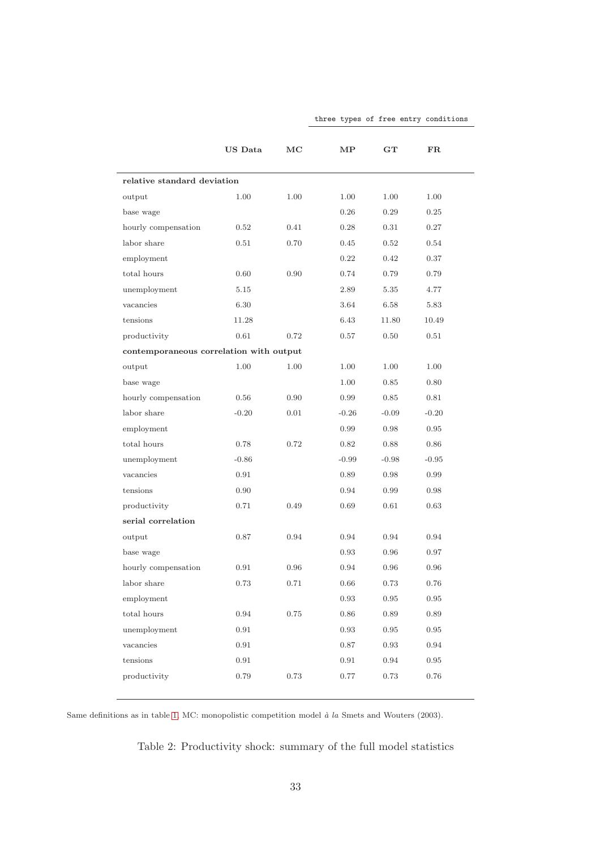|                             | US Data                                 | $_{\mathrm{MC}}$ | МP         | $G_{\mathbf{T}}$ | $_{\rm FR}$ |  |  |
|-----------------------------|-----------------------------------------|------------------|------------|------------------|-------------|--|--|
| relative standard deviation |                                         |                  |            |                  |             |  |  |
| output                      | 1.00                                    | 1.00             | 1.00       | 1.00             | 1.00        |  |  |
| base wage                   |                                         |                  | 0.26       | 0.29             | 0.25        |  |  |
| hourly compensation         | 0.52                                    | 0.41             | 0.28       | 0.31             | 0.27        |  |  |
| labor share                 | 0.51                                    | 0.70             | 0.45       | 0.52             | 0.54        |  |  |
| employment                  |                                         |                  | 0.22       | 0.42             | 0.37        |  |  |
| total hours                 | 0.60                                    | 0.90             | 0.74       | 0.79             | 0.79        |  |  |
| unemployment                | 5.15                                    |                  | 2.89       | 5.35             | 4.77        |  |  |
| vacancies                   | 6.30                                    |                  | 3.64       | 6.58             | 5.83        |  |  |
| tensions                    | 11.28                                   |                  | 6.43       | 11.80            | 10.49       |  |  |
| productivity                | $0.61\,$                                | 0.72             | 0.57       | 0.50             | 0.51        |  |  |
|                             | contemporaneous correlation with output |                  |            |                  |             |  |  |
| output                      | 1.00                                    | 1.00             | 1.00       | 1.00             | 1.00        |  |  |
| base wage                   |                                         |                  | 1.00       | 0.85             | 0.80        |  |  |
| hourly compensation         | 0.56                                    | 0.90             | 0.99       | 0.85             | 0.81        |  |  |
| labor share                 | $-0.20$                                 | 0.01             | $-0.26$    | $-0.09$          | $-0.20$     |  |  |
| employment                  |                                         |                  | 0.99       | 0.98             | 0.95        |  |  |
| total hours                 | 0.78                                    | 0.72             | 0.82       | 0.88             | 0.86        |  |  |
| unemployment                | $-0.86$                                 |                  | $-0.99$    | $-0.98$          | $-0.95$     |  |  |
| vacancies                   | 0.91                                    |                  | 0.89       | 0.98             | 0.99        |  |  |
| tensions                    | 0.90                                    |                  | 0.94       | 0.99             | 0.98        |  |  |
| productivity                | 0.71                                    | 0.49             | 0.69       | 0.61             | 0.63        |  |  |
| serial correlation          |                                         |                  |            |                  |             |  |  |
| output                      | 0.87                                    | 0.94             | 0.94       | 0.94             | 0.94        |  |  |
| base wage                   |                                         |                  | 0.93       | 0.96             | 0.97        |  |  |
| hourly compensation         | 0.91                                    | 0.96             | 0.94       | 0.96             | 0.96        |  |  |
| labor share                 | 0.73                                    | 0.71             | 0.66       | 0.73             | 0.76        |  |  |
| employment                  |                                         |                  | $\rm 0.93$ | $\rm 0.95$       | $\rm 0.95$  |  |  |
| total hours                 | 0.94                                    | $0.75\,$         | $0.86\,$   | 0.89             | $0.89\,$    |  |  |
| unemployment                | 0.91                                    |                  | $\rm 0.93$ | 0.95             | $\rm 0.95$  |  |  |
| vacancies                   | $0.91\,$                                |                  | 0.87       | 0.93             | 0.94        |  |  |
| tensions                    | $0.91\,$                                |                  | $\rm 0.91$ | 0.94             | $\rm 0.95$  |  |  |
| productivity                | 0.79                                    | $0.73\,$         | $0.77\,$   | 0.73             | 0.76        |  |  |
|                             |                                         |                  |            |                  |             |  |  |

Same definitions as in table [1,](#page-33-0) MC: monopolistic competition model  $\dot{a}$  la [Smets and Wouters \(2003](#page-28-6)).

<span id="page-34-0"></span>Table 2: Productivity shock: summary of the full model statistics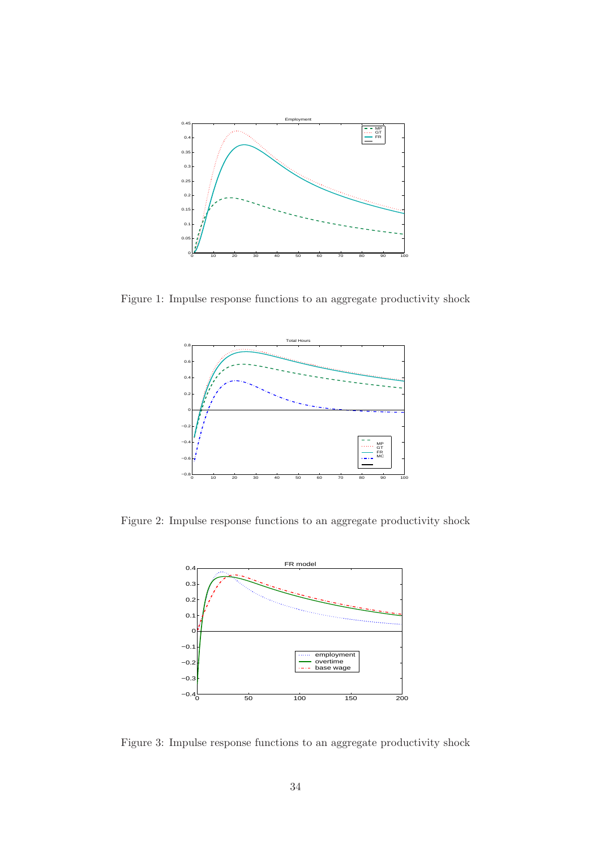

<span id="page-35-0"></span>Figure 1: Impulse response functions to an aggregate productivity shock



<span id="page-35-1"></span>Figure 2: Impulse response functions to an aggregate productivity shock



<span id="page-35-2"></span>Figure 3: Impulse response functions to an aggregate productivity shock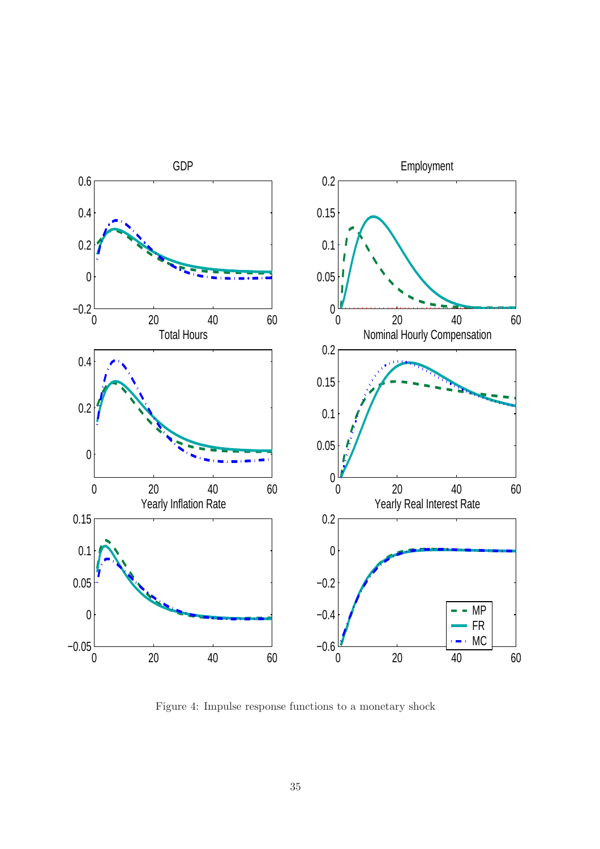

<span id="page-36-0"></span>Figure 4: Impulse response functions to a monetary shock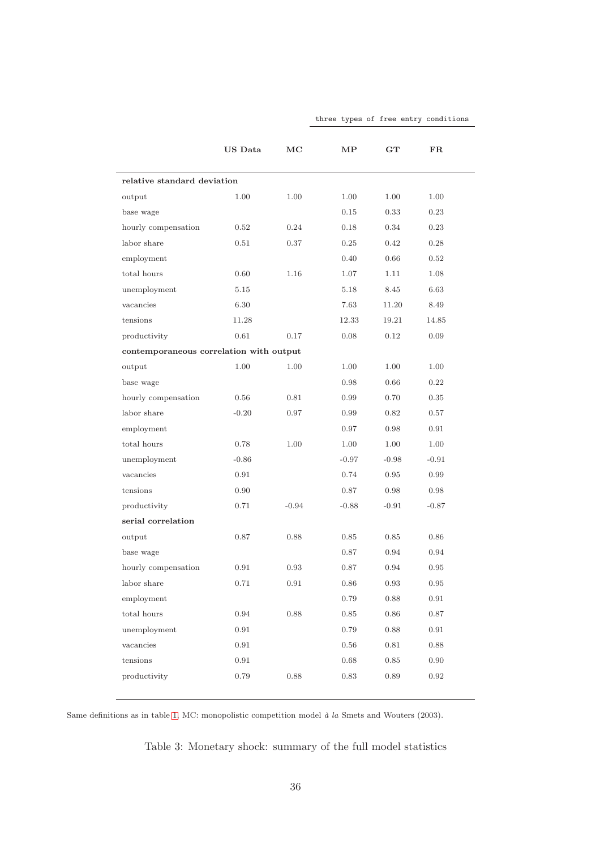|                                         | US Data | $_{\rm MC}$ | МP       | $\mathbf{G} \mathbf{T}$ | $_{\rm FR}$ |  |
|-----------------------------------------|---------|-------------|----------|-------------------------|-------------|--|
| relative standard deviation             |         |             |          |                         |             |  |
| output                                  | 1.00    | 1.00        | 1.00     | 1.00                    | 1.00        |  |
| base wage                               |         |             | 0.15     | 0.33                    | 0.23        |  |
| hourly compensation                     | 0.52    | 0.24        | 0.18     | 0.34                    | 0.23        |  |
| labor share                             | 0.51    | 0.37        | 0.25     | 0.42                    | 0.28        |  |
| employment                              |         |             | 0.40     | 0.66                    | 0.52        |  |
| total hours                             | 0.60    | 1.16        | 1.07     | 1.11                    | 1.08        |  |
| unemployment                            | 5.15    |             | 5.18     | 8.45                    | 6.63        |  |
| vacancies                               | 6.30    |             | 7.63     | 11.20                   | 8.49        |  |
| tensions                                | 11.28   |             | 12.33    | 19.21                   | 14.85       |  |
| productivity                            | 0.61    | 0.17        | 0.08     | 0.12                    | 0.09        |  |
| contemporaneous correlation with output |         |             |          |                         |             |  |
| output                                  | 1.00    | 1.00        | 1.00     | 1.00                    | 1.00        |  |
| base wage                               |         |             | 0.98     | 0.66                    | 0.22        |  |
| hourly compensation                     | 0.56    | 0.81        | 0.99     | 0.70                    | 0.35        |  |
| labor share                             | $-0.20$ | 0.97        | 0.99     | 0.82                    | 0.57        |  |
| employment                              |         |             | 0.97     | 0.98                    | 0.91        |  |
| total hours                             | 0.78    | 1.00        | 1.00     | 1.00                    | 1.00        |  |
| unemployment                            | $-0.86$ |             | $-0.97$  | $-0.98$                 | $-0.91$     |  |
| vacancies                               | 0.91    |             | 0.74     | 0.95                    | 0.99        |  |
| tensions                                | 0.90    |             | 0.87     | 0.98                    | 0.98        |  |
| productivity                            | 0.71    | $-0.94$     | $-0.88$  | $-0.91$                 | $-0.87$     |  |
| serial correlation                      |         |             |          |                         |             |  |
| output                                  | 0.87    | 0.88        | 0.85     | 0.85                    | 0.86        |  |
| base wage                               |         |             | 0.87     | 0.94                    | 0.94        |  |
| hourly compensation                     | 0.91    | 0.93        | 0.87     | 0.94                    | 0.95        |  |
| labor share                             | 0.71    | 0.91        | 0.86     | 0.93                    | 0.95        |  |
| employment                              |         |             | 0.79     | 0.88                    | $\rm 0.91$  |  |
| total hours                             | 0.94    | 0.88        | 0.85     | 0.86                    | $0.87\,$    |  |
| unemployment                            | 0.91    |             | 0.79     | 0.88                    | 0.91        |  |
| vacancies                               | 0.91    |             | $0.56\,$ | 0.81                    | 0.88        |  |
| tensions                                | 0.91    |             | $0.68\,$ | $0.85\,$                | $0.90\,$    |  |
| productivity                            | 0.79    | 0.88        | 0.83     | 0.89                    | 0.92        |  |
|                                         |         |             |          |                         |             |  |

Same definitions as in table [1,](#page-33-0) MC: monopolistic competition model  $\dot{a}$  la [Smets and Wouters \(2003](#page-28-6)).

<span id="page-37-0"></span>Table 3: Monetary shock: summary of the full model statistics